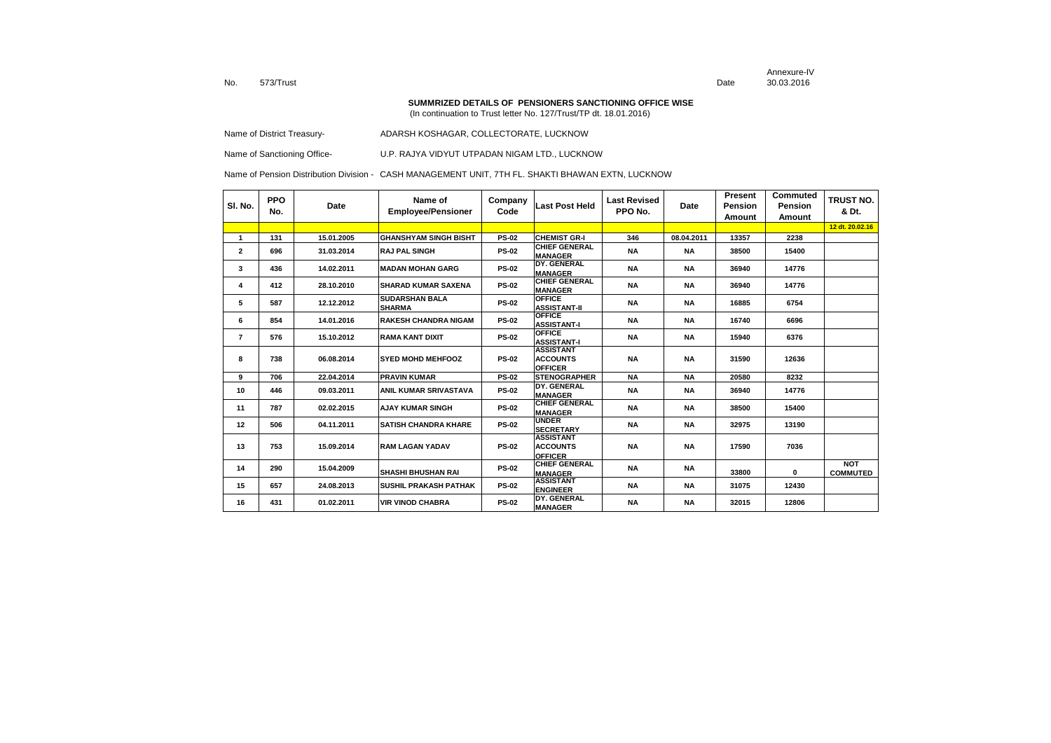Annexure-IVDate 30.03.2016

#### **SUMMRIZED DETAILS OF PENSIONERS SANCTIONING OFFICE WISE**

(In continuation to Trust letter No. 127/Trust/TP dt. 18.01.2016)

Name of District Treasury-<br>
ADARSH KOSHAGAR, COLLECTORATE, LUCKNOW

Name of Sanctioning Office- U.P. RAJYA VIDYUT UTPADAN NIGAM LTD., LUCKNOW

| SI. No.        | <b>PPO</b><br>No. | Date       | Name of<br><b>Employee/Pensioner</b>   | Company<br>Code | <b>Last Post Held</b>                                 | <b>Last Revised</b><br>PPO No. | Date       | <b>Present</b><br>Pension<br>Amount | Commuted<br><b>Pension</b><br>Amount | TRUST NO.<br>& Dt.            |
|----------------|-------------------|------------|----------------------------------------|-----------------|-------------------------------------------------------|--------------------------------|------------|-------------------------------------|--------------------------------------|-------------------------------|
|                |                   |            |                                        |                 |                                                       |                                |            |                                     |                                      | 12 dt. 20.02.16               |
| $\mathbf{1}$   | 131               | 15.01.2005 | <b>GHANSHYAM SINGH BISHT</b>           | <b>PS-02</b>    | <b>CHEMIST GR-I</b>                                   | 346                            | 08.04.2011 | 13357                               | 2238                                 |                               |
| $\overline{2}$ | 696               | 31.03.2014 | <b>RAJ PAL SINGH</b>                   | <b>PS-02</b>    | <b>CHIEF GENERAL</b><br><b>MANAGER</b>                | <b>NA</b>                      | <b>NA</b>  | 38500                               | 15400                                |                               |
| 3              | 436               | 14.02.2011 | <b>MADAN MOHAN GARG</b>                | <b>PS-02</b>    | DY. GENERAL<br><b>MANAGER</b>                         | <b>NA</b>                      | <b>NA</b>  | 36940                               | 14776                                |                               |
| 4              | 412               | 28.10.2010 | <b>SHARAD KUMAR SAXENA</b>             | <b>PS-02</b>    | <b>CHIEF GENERAL</b><br><b>MANAGER</b>                | <b>NA</b>                      | <b>NA</b>  | 36940                               | 14776                                |                               |
| 5              | 587               | 12.12.2012 | <b>SUDARSHAN BALA</b><br><b>SHARMA</b> | <b>PS-02</b>    | <b>OFFICE</b><br><b>ASSISTANT-II</b>                  | <b>NA</b>                      | <b>NA</b>  | 16885                               | 6754                                 |                               |
| 6              | 854               | 14.01.2016 | <b>RAKESH CHANDRA NIGAM</b>            | <b>PS-02</b>    | <b>OFFICE</b><br><b>ASSISTANT-I</b>                   | <b>NA</b>                      | <b>NA</b>  | 16740                               | 6696                                 |                               |
| $\overline{7}$ | 576               | 15.10.2012 | <b>RAMA KANT DIXIT</b>                 | <b>PS-02</b>    | <b>OFFICE</b><br><b>ASSISTANT-I</b>                   | <b>NA</b>                      | <b>NA</b>  | 15940                               | 6376                                 |                               |
| 8              | 738               | 06.08.2014 | <b>SYED MOHD MEHFOOZ</b>               | <b>PS-02</b>    | <b>ASSISTANT</b><br><b>ACCOUNTS</b><br><b>OFFICER</b> | <b>NA</b>                      | <b>NA</b>  | 31590                               | 12636                                |                               |
| 9              | 706               | 22.04.2014 | <b>PRAVIN KUMAR</b>                    | <b>PS-02</b>    | <b>STENOGRAPHER</b>                                   | <b>NA</b>                      | <b>NA</b>  | 20580                               | 8232                                 |                               |
| 10             | 446               | 09.03.2011 | <b>ANIL KUMAR SRIVASTAVA</b>           | <b>PS-02</b>    | DY. GENERAL<br><b>MANAGER</b>                         | <b>NA</b>                      | <b>NA</b>  | 36940                               | 14776                                |                               |
| 11             | 787               | 02.02.2015 | <b>AJAY KUMAR SINGH</b>                | <b>PS-02</b>    | <b>CHIEF GENERAL</b><br><b>MANAGER</b>                | <b>NA</b>                      | <b>NA</b>  | 38500                               | 15400                                |                               |
| 12             | 506               | 04.11.2011 | <b>SATISH CHANDRA KHARE</b>            | <b>PS-02</b>    | <b>UNDER</b><br><b>SECRETARY</b>                      | <b>NA</b>                      | <b>NA</b>  | 32975                               | 13190                                |                               |
| 13             | 753               | 15.09.2014 | <b>RAM LAGAN YADAV</b>                 | <b>PS-02</b>    | <b>ASSISTANT</b><br><b>ACCOUNTS</b><br><b>OFFICER</b> | <b>NA</b>                      | <b>NA</b>  | 17590                               | 7036                                 |                               |
| 14             | 290               | 15.04.2009 | <b>SHASHI BHUSHAN RAI</b>              | <b>PS-02</b>    | <b>CHIEF GENERAL</b><br><b>MANAGER</b>                | <b>NA</b>                      | <b>NA</b>  | 33800                               | 0                                    | <b>NOT</b><br><b>COMMUTED</b> |
| 15             | 657               | 24.08.2013 | <b>SUSHIL PRAKASH PATHAK</b>           | <b>PS-02</b>    | <b>ASSISTANT</b><br><b>ENGINEER</b>                   | <b>NA</b>                      | <b>NA</b>  | 31075                               | 12430                                |                               |
| 16             | 431               | 01.02.2011 | <b>VIR VINOD CHABRA</b>                | <b>PS-02</b>    | DY. GENERAL<br><b>MANAGER</b>                         | <b>NA</b>                      | <b>NA</b>  | 32015                               | 12806                                |                               |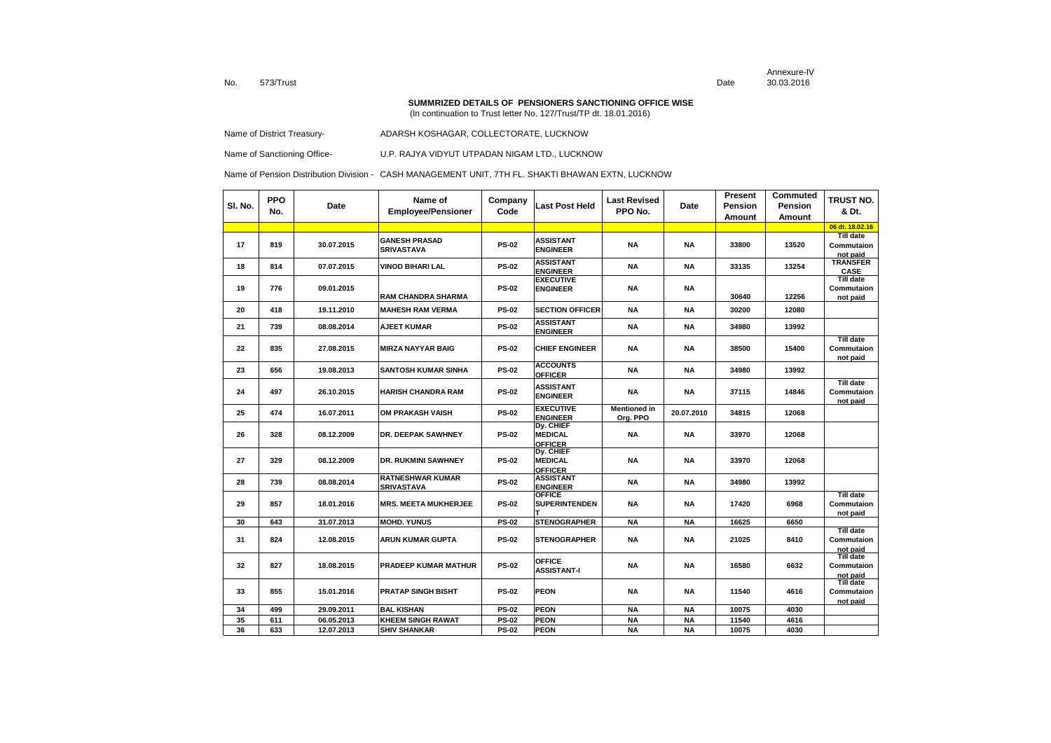Annexure-IVDate 30.03.2016

#### **SUMMRIZED DETAILS OF PENSIONERS SANCTIONING OFFICE WISE**

(In continuation to Trust letter No. 127/Trust/TP dt. 18.01.2016)

Name of District Treasury-<br>
ADARSH KOSHAGAR, COLLECTORATE, LUCKNOW

Name of Sanctioning Office- U.P. RAJYA VIDYUT UTPADAN NIGAM LTD., LUCKNOW

| SI. No. | <b>PPO</b><br>No. | Date       | Name of<br><b>Employee/Pensioner</b>  | Company<br>Code | Last Post Held                                       | <b>Last Revised</b><br>PPO No.  | Date       | Present<br>Pension<br>Amount | Commuted<br>Pension<br>Amount | TRUST NO.<br>& Dt.                         |
|---------|-------------------|------------|---------------------------------------|-----------------|------------------------------------------------------|---------------------------------|------------|------------------------------|-------------------------------|--------------------------------------------|
|         |                   |            |                                       |                 |                                                      |                                 |            |                              |                               | 06 dt. 18.02.16                            |
| 17      | 819               | 30.07.2015 | <b>GANESH PRASAD</b><br>SRIVASTAVA    | <b>PS-02</b>    | <b>ASSISTANT</b><br><b>ENGINEER</b>                  | <b>NA</b>                       | <b>NA</b>  | 33800                        | 13520                         | <b>Till date</b><br>Commutaion<br>not paid |
| 18      | 814               | 07.07.2015 | <b>VINOD BIHARI LAL</b>               | <b>PS-02</b>    | <b>ASSISTANT</b><br><b>ENGINEER</b>                  | <b>NA</b>                       | <b>NA</b>  | 33135                        | 13254                         | <b>TRANSFER</b><br><b>CASE</b>             |
| 19      | 776               | 09.01.2015 | <b>RAM CHANDRA SHARMA</b>             | <b>PS-02</b>    | <b>EXECUTIVE</b><br><b>ENGINEER</b>                  | NA                              | <b>NA</b>  | 30640                        | 12256                         | <b>Till date</b><br>Commutaion<br>not paid |
| 20      | 418               | 19.11.2010 | <b>MAHESH RAM VERMA</b>               | <b>PS-02</b>    | <b>SECTION OFFICER</b>                               | <b>NA</b>                       | <b>NA</b>  | 30200                        | 12080                         |                                            |
| 21      | 739               | 08.08.2014 | <b>AJEET KUMAR</b>                    | <b>PS-02</b>    | <b>ASSISTANT</b><br><b>ENGINEER</b>                  | ΝA                              | <b>NA</b>  | 34980                        | 13992                         |                                            |
| 22      | 835               | 27.08.2015 | <b>MIRZA NAYYAR BAIG</b>              | <b>PS-02</b>    | <b>CHIEF ENGINEER</b>                                | NA                              | NA         | 38500                        | 15400                         | <b>Till date</b><br>Commutaion<br>not paid |
| 23      | 656               | 19.08.2013 | SANTOSH KUMAR SINHA                   | <b>PS-02</b>    | <b>ACCOUNTS</b><br><b>OFFICER</b>                    | <b>NA</b>                       | <b>NA</b>  | 34980                        | 13992                         |                                            |
| 24      | 497               | 26.10.2015 | <b>HARISH CHANDRA RAM</b>             | <b>PS-02</b>    | <b>ASSISTANT</b><br><b>ENGINEER</b>                  | ΝA                              | <b>NA</b>  | 37115                        | 14846                         | <b>Till date</b><br>Commutaion<br>not paid |
| 25      | 474               | 16.07.2011 | OM PRAKASH VAISH                      | <b>PS-02</b>    | <b>EXECUTIVE</b><br><b>ENGINEER</b>                  | <b>Mentioned in</b><br>Org. PPO | 20.07.2010 | 34815                        | 12068                         |                                            |
| 26      | 328               | 08.12.2009 | DR. DEEPAK SAWHNEY                    | <b>PS-02</b>    | Dy. CHIEF<br><b>MEDICAL</b><br><b>OFFICER</b>        | <b>NA</b>                       | ΝA         | 33970                        | 12068                         |                                            |
| 27      | 329               | 08.12.2009 | <b>DR. RUKMINI SAWHNEY</b>            | <b>PS-02</b>    | <b>Dy. CHIEF</b><br><b>MEDICAL</b><br><b>OFFICER</b> | NA                              | <b>NA</b>  | 33970                        | 12068                         |                                            |
| 28      | 739               | 08.08.2014 | <b>RATNESHWAR KUMAR</b><br>SRIVASTAVA | <b>PS-02</b>    | <b>ASSISTANT</b><br><b>ENGINEER</b>                  | <b>NA</b>                       | <b>NA</b>  | 34980                        | 13992                         |                                            |
| 29      | 857               | 18.01.2016 | <b>MRS. MEETA MUKHERJEE</b>           | <b>PS-02</b>    | <b>OFFICE</b><br><b>SUPERINTENDEN</b>                | NA                              | NA         | 17420                        | 6968                          | <b>Till date</b><br>Commutaion<br>not paid |
| 30      | 643               | 31.07.2013 | <b>MOHD. YUNUS</b>                    | <b>PS-02</b>    | <b>STENOGRAPHER</b>                                  | <b>NA</b>                       | <b>NA</b>  | 16625                        | 6650                          |                                            |
| 31      | 824               | 12.08.2015 | ARUN KUMAR GUPTA                      | <b>PS-02</b>    | <b>STENOGRAPHER</b>                                  | NA                              | NA         | 21025                        | 8410                          | <b>Till date</b><br>Commutaion<br>not paid |
| 32      | 827               | 18.08.2015 | <b>PRADEEP KUMAR MATHUR</b>           | <b>PS-02</b>    | <b>OFFICE</b><br><b>ASSISTANT-I</b>                  | ΝA                              | NA         | 16580                        | 6632                          | <b>Till date</b><br>Commutaion<br>not paid |
| 33      | 855               | 15.01.2016 | <b>PRATAP SINGH BISHT</b>             | <b>PS-02</b>    | <b>PEON</b>                                          | NA                              | NA         | 11540                        | 4616                          | <b>Till date</b><br>Commutaion<br>not paid |
| 34      | 499               | 29.09.2011 | <b>BAL KISHAN</b>                     | <b>PS-02</b>    | <b>PEON</b>                                          | <b>NA</b>                       | <b>NA</b>  | 10075                        | 4030                          |                                            |
| 35      | 611               | 06.05.2013 | <b>KHEEM SINGH RAWAT</b>              | <b>PS-02</b>    | <b>PEON</b>                                          | <b>NA</b>                       | <b>NA</b>  | 11540                        | 4616                          |                                            |
| 36      | 633               | 12.07.2013 | SHIV SHANKAR                          | <b>PS-02</b>    | <b>PEON</b>                                          | NA                              | <b>NA</b>  | 10075                        | 4030                          |                                            |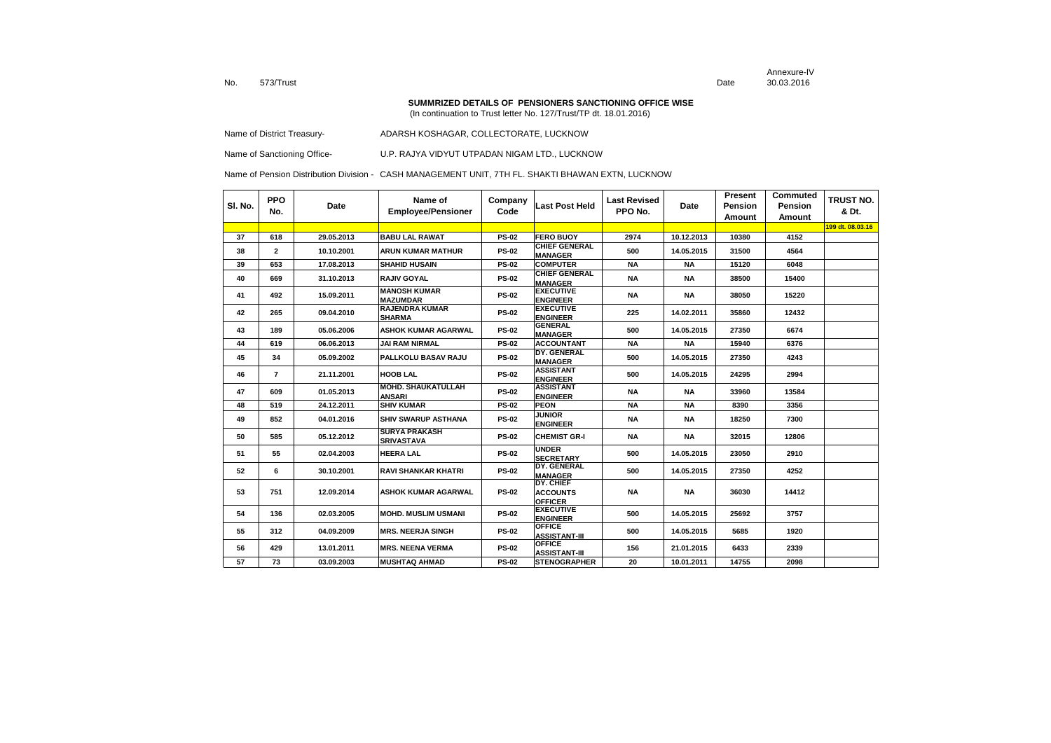Annexure-IVDate 30.03.2016

#### **SUMMRIZED DETAILS OF PENSIONERS SANCTIONING OFFICE WISE**

(In continuation to Trust letter No. 127/Trust/TP dt. 18.01.2016)

| Name of District Treasury- |  | ADARSH KOSHAGAR. COLLECTORATE. LUCKNOW |
|----------------------------|--|----------------------------------------|
|----------------------------|--|----------------------------------------|

Name of Sanctioning Office- U.P. RAJYA VIDYUT UTPADAN NIGAM LTD., LUCKNOW

| SI. No. | <b>PPO</b><br>No. | Date       | Name of<br><b>Employee/Pensioner</b>       | Company<br>Code | Last Post Held                                 | <b>Last Revised</b><br>PPO No. | <b>Date</b> | Present<br><b>Pension</b><br>Amount | Commuted<br><b>Pension</b><br>Amount | <b>TRUST NO.</b><br>& Dt. |
|---------|-------------------|------------|--------------------------------------------|-----------------|------------------------------------------------|--------------------------------|-------------|-------------------------------------|--------------------------------------|---------------------------|
|         |                   |            |                                            |                 |                                                |                                |             |                                     |                                      | 199 dt. 08.03.16          |
| 37      | 618               | 29.05.2013 | <b>BABU LAL RAWAT</b>                      | <b>PS-02</b>    | <b>FERO BUOY</b>                               | 2974                           | 10.12.2013  | 10380                               | 4152                                 |                           |
| 38      | $\mathbf{2}$      | 10.10.2001 | <b>ARUN KUMAR MATHUR</b>                   | <b>PS-02</b>    | <b>CHIEF GENERAL</b><br><b>MANAGER</b>         | 500                            | 14.05.2015  | 31500                               | 4564                                 |                           |
| 39      | 653               | 17.08.2013 | <b>SHAHID HUSAIN</b>                       | <b>PS-02</b>    | <b>COMPUTER</b>                                | <b>NA</b>                      | <b>NA</b>   | 15120                               | 6048                                 |                           |
| 40      | 669               | 31.10.2013 | <b>RAJIV GOYAL</b>                         | <b>PS-02</b>    | <b>CHIEF GENERAL</b><br><b>MANAGER</b>         | <b>NA</b>                      | <b>NA</b>   | 38500                               | 15400                                |                           |
| 41      | 492               | 15.09.2011 | <b>MANOSH KUMAR</b><br><b>MAZUMDAR</b>     | <b>PS-02</b>    | <b>EXECUTIVE</b><br><b>ENGINEER</b>            | <b>NA</b>                      | <b>NA</b>   | 38050                               | 15220                                |                           |
| 42      | 265               | 09.04.2010 | <b>RAJENDRA KUMAR</b><br><b>SHARMA</b>     | <b>PS-02</b>    | <b>EXECUTIVE</b><br><b>ENGINEER</b>            | 225                            | 14.02.2011  | 35860                               | 12432                                |                           |
| 43      | 189               | 05.06.2006 | <b>ASHOK KUMAR AGARWAL</b>                 | <b>PS-02</b>    | <b>GENERAL</b><br><b>MANAGER</b>               | 500                            | 14.05.2015  | 27350                               | 6674                                 |                           |
| 44      | 619               | 06.06.2013 | <b>JAI RAM NIRMAL</b>                      | <b>PS-02</b>    | <b>ACCOUNTANT</b>                              | <b>NA</b>                      | <b>NA</b>   | 15940                               | 6376                                 |                           |
| 45      | 34                | 05.09.2002 | PALLKOLU BASAV RAJU                        | <b>PS-02</b>    | <b>DY. GENERAL</b><br><b>MANAGER</b>           | 500                            | 14.05.2015  | 27350                               | 4243                                 |                           |
| 46      | $\overline{7}$    | 21.11.2001 | <b>HOOB LAL</b>                            | <b>PS-02</b>    | <b>ASSISTANT</b><br><b>ENGINEER</b>            | 500                            | 14.05.2015  | 24295                               | 2994                                 |                           |
| 47      | 609               | 01.05.2013 | <b>MOHD. SHAUKATULLAH</b><br><b>ANSARI</b> | <b>PS-02</b>    | <b>ASSISTANT</b><br><b>ENGINEER</b>            | <b>NA</b>                      | <b>NA</b>   | 33960                               | 13584                                |                           |
| 48      | 519               | 24.12.2011 | <b>SHIV KUMAR</b>                          | <b>PS-02</b>    | <b>PEON</b>                                    | <b>NA</b>                      | <b>NA</b>   | 8390                                | 3356                                 |                           |
| 49      | 852               | 04.01.2016 | <b>SHIV SWARUP ASTHANA</b>                 | <b>PS-02</b>    | <b>JUNIOR</b><br><b>ENGINEER</b>               | <b>NA</b>                      | <b>NA</b>   | 18250                               | 7300                                 |                           |
| 50      | 585               | 05.12.2012 | <b>SURYA PRAKASH</b><br><b>SRIVASTAVA</b>  | <b>PS-02</b>    | <b>CHEMIST GR-I</b>                            | <b>NA</b>                      | <b>NA</b>   | 32015                               | 12806                                |                           |
| 51      | 55                | 02.04.2003 | <b>HEERA LAL</b>                           | <b>PS-02</b>    | <b>UNDER</b><br><b>SECRETARY</b>               | 500                            | 14.05.2015  | 23050                               | 2910                                 |                           |
| 52      | 6                 | 30.10.2001 | <b>RAVI SHANKAR KHATRI</b>                 | <b>PS-02</b>    | DY. GENERAL<br><b>MANAGER</b>                  | 500                            | 14.05.2015  | 27350                               | 4252                                 |                           |
| 53      | 751               | 12.09.2014 | <b>ASHOK KUMAR AGARWAL</b>                 | <b>PS-02</b>    | DY. CHIEF<br><b>ACCOUNTS</b><br><b>OFFICER</b> | <b>NA</b>                      | <b>NA</b>   | 36030                               | 14412                                |                           |
| 54      | 136               | 02.03.2005 | <b>MOHD. MUSLIM USMANI</b>                 | <b>PS-02</b>    | <b>EXECUTIVE</b><br><b>ENGINEER</b>            | 500                            | 14.05.2015  | 25692                               | 3757                                 |                           |
| 55      | 312               | 04.09.2009 | <b>MRS. NEERJA SINGH</b>                   | <b>PS-02</b>    | <b>OFFICE</b><br><b>ASSISTANT-III</b>          | 500                            | 14.05.2015  | 5685                                | 1920                                 |                           |
| 56      | 429               | 13.01.2011 | <b>MRS. NEENA VERMA</b>                    | <b>PS-02</b>    | <b>OFFICE</b><br><b>ASSISTANT-III</b>          | 156                            | 21.01.2015  | 6433                                | 2339                                 |                           |
| 57      | 73                | 03.09.2003 | <b>MUSHTAQ AHMAD</b>                       | <b>PS-02</b>    | <b>STENOGRAPHER</b>                            | 20                             | 10.01.2011  | 14755                               | 2098                                 |                           |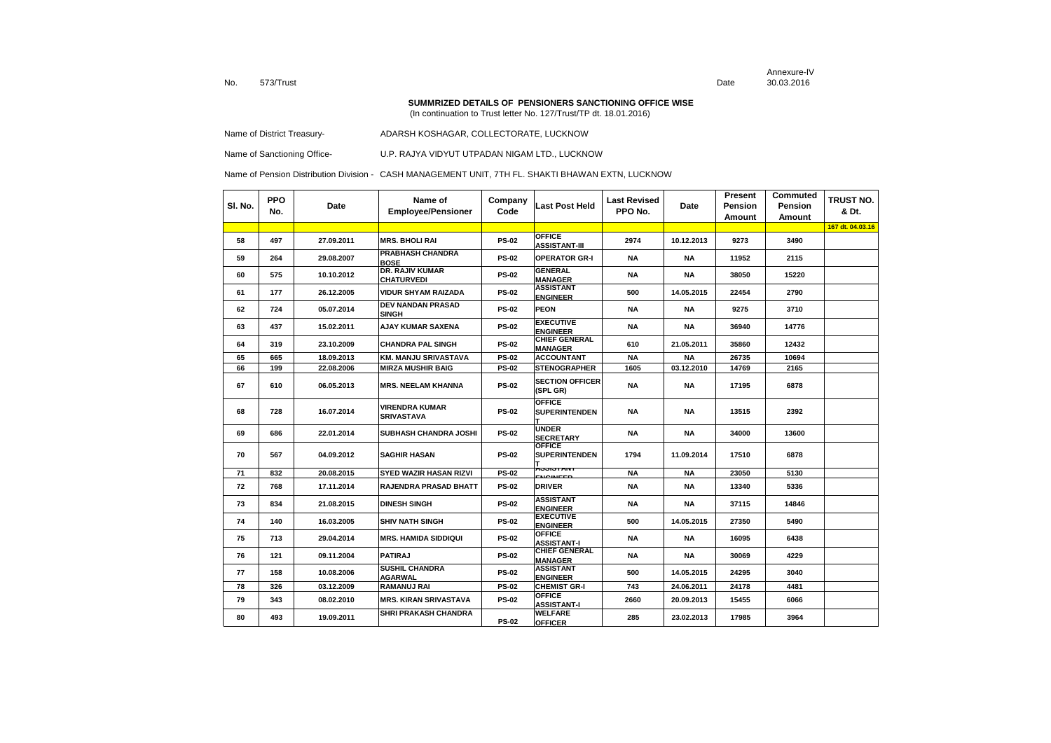Annexure-IVDate 30.03.2016

#### **SUMMRIZED DETAILS OF PENSIONERS SANCTIONING OFFICE WISE**

(In continuation to Trust letter No. 127/Trust/TP dt. 18.01.2016)

Name of District Treasury-<br>
ADARSH KOSHAGAR, COLLECTORATE, LUCKNOW

Name of Sanctioning Office- U.P. RAJYA VIDYUT UTPADAN NIGAM LTD., LUCKNOW

| SI. No. | <b>PPO</b><br>No. | Date       | Name of<br><b>Employee/Pensioner</b>        | Company<br>Code | <b>Last Post Held</b>                  | <b>Last Revised</b><br>PPO No. | Date       | Present<br>Pension<br>Amount | Commuted<br>Pension<br>Amount | <b>TRUST NO.</b><br>& Dt. |
|---------|-------------------|------------|---------------------------------------------|-----------------|----------------------------------------|--------------------------------|------------|------------------------------|-------------------------------|---------------------------|
|         |                   |            |                                             |                 |                                        |                                |            |                              |                               | 167 dt. 04.03.16          |
| 58      | 497               | 27.09.2011 | <b>MRS. BHOLI RAI</b>                       | <b>PS-02</b>    | <b>OFFICE</b><br><b>ASSISTANT-III</b>  | 2974                           | 10.12.2013 | 9273                         | 3490                          |                           |
| 59      | 264               | 29.08.2007 | <b>PRABHASH CHANDRA</b><br><b>BOSE</b>      | <b>PS-02</b>    | <b>OPERATOR GR-I</b>                   | NA                             | <b>NA</b>  | 11952                        | 2115                          |                           |
| 60      | 575               | 10.10.2012 | <b>DR. RAJIV KUMAR</b><br><b>CHATURVEDI</b> | <b>PS-02</b>    | <b>GENERAL</b><br><b>MANAGER</b>       | NA                             | <b>NA</b>  | 38050                        | 15220                         |                           |
| 61      | 177               | 26.12.2005 | <b>VIDUR SHYAM RAIZADA</b>                  | <b>PS-02</b>    | <b>ASSISTANT</b><br><b>ENGINEER</b>    | 500                            | 14.05.2015 | 22454                        | 2790                          |                           |
| 62      | 724               | 05.07.2014 | <b>DEV NANDAN PRASAD</b><br><b>SINGH</b>    | <b>PS-02</b>    | <b>PEON</b>                            | NA                             | NA         | 9275                         | 3710                          |                           |
| 63      | 437               | 15.02.2011 | <b>AJAY KUMAR SAXENA</b>                    | <b>PS-02</b>    | <b>EXECUTIVE</b><br><b>ENGINEER</b>    | NA                             | NA         | 36940                        | 14776                         |                           |
| 64      | 319               | 23.10.2009 | <b>CHANDRA PAL SINGH</b>                    | <b>PS-02</b>    | <b>CHIEF GENERAL</b><br><b>MANAGER</b> | 610                            | 21.05.2011 | 35860                        | 12432                         |                           |
| 65      | 665               | 18.09.2013 | <b>KM. MANJU SRIVASTAVA</b>                 | <b>PS-02</b>    | <b>ACCOUNTANT</b>                      | <b>NA</b>                      | <b>NA</b>  | 26735                        | 10694                         |                           |
| 66      | 199               | 22.08.2006 | <b>MIRZA MUSHIR BAIG</b>                    | <b>PS-02</b>    | <b>STENOGRAPHER</b>                    | 1605                           | 03.12.2010 | 14769                        | 2165                          |                           |
| 67      | 610               | 06.05.2013 | <b>MRS. NEELAM KHANNA</b>                   | <b>PS-02</b>    | <b>SECTION OFFICER</b><br>(SPL GR)     | NA                             | NA         | 17195                        | 6878                          |                           |
| 68      | 728               | 16.07.2014 | <b>VIRENDRA KUMAR</b><br><b>SRIVASTAVA</b>  | <b>PS-02</b>    | <b>OFFICE</b><br><b>SUPERINTENDEN</b>  | <b>NA</b>                      | NA         | 13515                        | 2392                          |                           |
| 69      | 686               | 22.01.2014 | SUBHASH CHANDRA JOSHI                       | <b>PS-02</b>    | <b>UNDER</b><br><b>SECRETARY</b>       | NA                             | <b>NA</b>  | 34000                        | 13600                         |                           |
| 70      | 567               | 04.09.2012 | <b>SAGHIR HASAN</b>                         | <b>PS-02</b>    | <b>OFFICE</b><br><b>SUPERINTENDEN</b>  | 1794                           | 11.09.2014 | 17510                        | 6878                          |                           |
| 71      | 832               | 20.08.2015 | <b>SYED WAZIR HASAN RIZVI</b>               | <b>PS-02</b>    | AJJIJIANT<br>EMCINEED                  | <b>NA</b>                      | <b>NA</b>  | 23050                        | 5130                          |                           |
| 72      | 768               | 17.11.2014 | <b>RAJENDRA PRASAD BHATT</b>                | <b>PS-02</b>    | <b>DRIVER</b>                          | NA                             | <b>NA</b>  | 13340                        | 5336                          |                           |
| 73      | 834               | 21.08.2015 | <b>DINESH SINGH</b>                         | <b>PS-02</b>    | <b>ASSISTANT</b><br><b>ENGINEER</b>    | ΝA                             | <b>NA</b>  | 37115                        | 14846                         |                           |
| 74      | 140               | 16.03.2005 | <b>SHIV NATH SINGH</b>                      | <b>PS-02</b>    | <b>EXECUTIVE</b><br><b>ENGINEER</b>    | 500                            | 14.05.2015 | 27350                        | 5490                          |                           |
| 75      | 713               | 29.04.2014 | <b>MRS. HAMIDA SIDDIQUI</b>                 | <b>PS-02</b>    | <b>OFFICE</b><br><b>ASSISTANT-I</b>    | NA                             | <b>NA</b>  | 16095                        | 6438                          |                           |
| 76      | 121               | 09.11.2004 | <b>PATIRAJ</b>                              | <b>PS-02</b>    | <b>CHIEF GENERAL</b><br><b>MANAGER</b> | NA                             | <b>NA</b>  | 30069                        | 4229                          |                           |
| 77      | 158               | 10.08.2006 | <b>SUSHIL CHANDRA</b><br><b>AGARWAL</b>     | <b>PS-02</b>    | <b>ASSISTANT</b><br><b>ENGINEER</b>    | 500                            | 14.05.2015 | 24295                        | 3040                          |                           |
| 78      | 326               | 03.12.2009 | <b>RAMANUJ RAI</b>                          | <b>PS-02</b>    | <b>CHEMIST GR-I</b>                    | 743                            | 24.06.2011 | 24178                        | 4481                          |                           |
| 79      | 343               | 08.02.2010 | <b>MRS. KIRAN SRIVASTAVA</b>                | <b>PS-02</b>    | <b>OFFICE</b><br><b>ASSISTANT-I</b>    | 2660                           | 20.09.2013 | 15455                        | 6066                          |                           |
| 80      | 493               | 19.09.2011 | SHRI PRAKASH CHANDRA                        | <b>PS-02</b>    | <b>WELFARE</b><br><b>OFFICER</b>       | 285                            | 23.02.2013 | 17985                        | 3964                          |                           |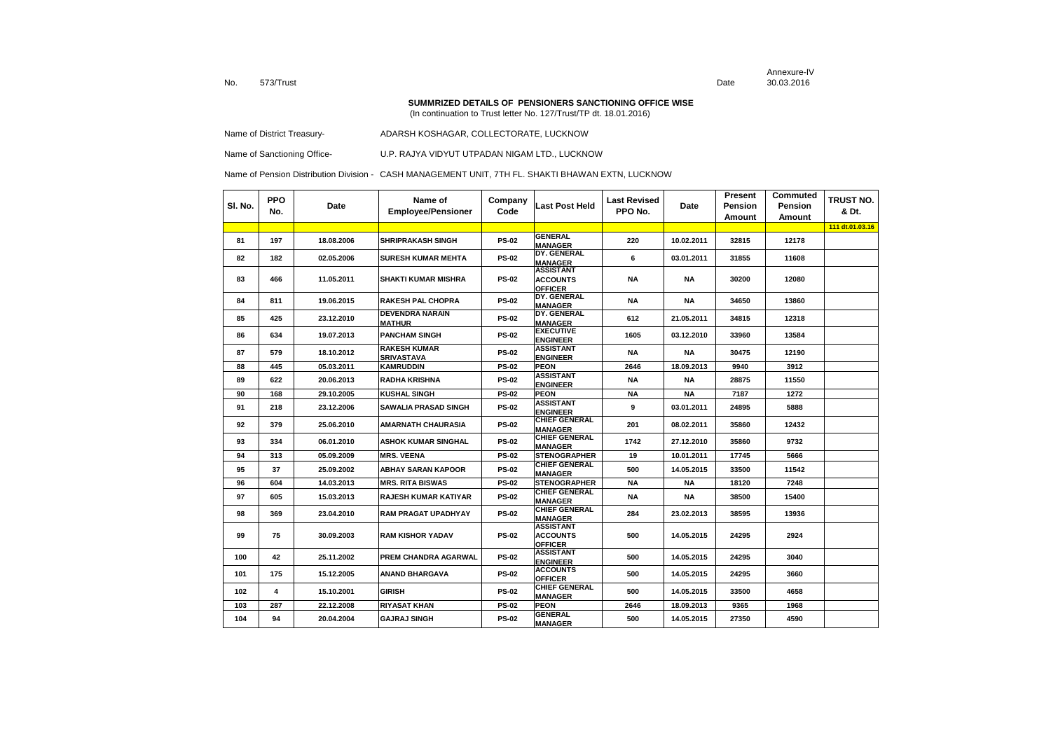Annexure-IVDate 30.03.2016

#### **SUMMRIZED DETAILS OF PENSIONERS SANCTIONING OFFICE WISE**

(In continuation to Trust letter No. 127/Trust/TP dt. 18.01.2016)

Name of District Treasury-<br>
ADARSH KOSHAGAR, COLLECTORATE, LUCKNOW

Name of Sanctioning Office- U.P. RAJYA VIDYUT UTPADAN NIGAM LTD., LUCKNOW

| SI. No. | <b>PPO</b><br>No. | Date       | Name of<br><b>Employee/Pensioner</b>     | Company<br>Code | <b>Last Post Held</b>                                 | <b>Last Revised</b><br>PPO No. | Date       | Present<br>Pension<br>Amount | Commuted<br>Pension<br>Amount | TRUST NO.<br>& Dt. |
|---------|-------------------|------------|------------------------------------------|-----------------|-------------------------------------------------------|--------------------------------|------------|------------------------------|-------------------------------|--------------------|
|         |                   |            |                                          |                 |                                                       |                                |            |                              |                               | 111 dt.01.03.16    |
| 81      | 197               | 18.08.2006 | <b>SHRIPRAKASH SINGH</b>                 | <b>PS-02</b>    | <b>GENERAL</b><br><b>MANAGER</b>                      | 220                            | 10.02.2011 | 32815                        | 12178                         |                    |
| 82      | 182               | 02.05.2006 | <b>SURESH KUMAR MEHTA</b>                | <b>PS-02</b>    | DY. GENERAL<br><b>MANAGER</b>                         | 6                              | 03.01.2011 | 31855                        | 11608                         |                    |
| 83      | 466               | 11.05.2011 | <b>SHAKTI KUMAR MISHRA</b>               | <b>PS-02</b>    | <b>ASSISTANT</b><br><b>ACCOUNTS</b><br><b>OFFICER</b> | <b>NA</b>                      | <b>NA</b>  | 30200                        | 12080                         |                    |
| 84      | 811               | 19.06.2015 | <b>RAKESH PAL CHOPRA</b>                 | <b>PS-02</b>    | DY. GENERAL<br><b>MANAGER</b>                         | <b>NA</b>                      | <b>NA</b>  | 34650                        | 13860                         |                    |
| 85      | 425               | 23.12.2010 | <b>DEVENDRA NARAIN</b><br><b>MATHUR</b>  | <b>PS-02</b>    | DY. GENERAL<br><b>MANAGER</b>                         | 612                            | 21.05.2011 | 34815                        | 12318                         |                    |
| 86      | 634               | 19.07.2013 | <b>PANCHAM SINGH</b>                     | <b>PS-02</b>    | <b>EXECUTIVE</b><br><b>ENGINEER</b>                   | 1605                           | 03.12.2010 | 33960                        | 13584                         |                    |
| 87      | 579               | 18.10.2012 | <b>RAKESH KUMAR</b><br><b>SRIVASTAVA</b> | <b>PS-02</b>    | <b>ASSISTANT</b><br><b>ENGINEER</b>                   | <b>NA</b>                      | <b>NA</b>  | 30475                        | 12190                         |                    |
| 88      | 445               | 05.03.2011 | <b>KAMRUDDIN</b>                         | <b>PS-02</b>    | <b>PEON</b>                                           | 2646                           | 18.09.2013 | 9940                         | 3912                          |                    |
| 89      | 622               | 20.06.2013 | <b>RADHA KRISHNA</b>                     | <b>PS-02</b>    | <b>ASSISTANT</b><br><b>ENGINEER</b>                   | <b>NA</b>                      | NA         | 28875                        | 11550                         |                    |
| 90      | 168               | 29.10.2005 | <b>KUSHAL SINGH</b>                      | <b>PS-02</b>    | <b>PEON</b>                                           | <b>NA</b>                      | <b>NA</b>  | 7187                         | 1272                          |                    |
| 91      | 218               | 23.12.2006 | <b>SAWALIA PRASAD SINGH</b>              | <b>PS-02</b>    | <b>ASSISTANT</b><br><b>ENGINEER</b>                   | 9                              | 03.01.2011 | 24895                        | 5888                          |                    |
| 92      | 379               | 25.06.2010 | <b>AMARNATH CHAURASIA</b>                | <b>PS-02</b>    | <b>CHIEF GENERAL</b><br><b>MANAGER</b>                | 201                            | 08.02.2011 | 35860                        | 12432                         |                    |
| 93      | 334               | 06.01.2010 | <b>ASHOK KUMAR SINGHAL</b>               | <b>PS-02</b>    | <b>CHIEF GENERAL</b><br><b>MANAGER</b>                | 1742                           | 27.12.2010 | 35860                        | 9732                          |                    |
| 94      | 313               | 05.09.2009 | <b>MRS. VEENA</b>                        | <b>PS-02</b>    | <b>STENOGRAPHER</b>                                   | 19                             | 10.01.2011 | 17745                        | 5666                          |                    |
| 95      | 37                | 25.09.2002 | <b>ABHAY SARAN KAPOOR</b>                | <b>PS-02</b>    | <b>CHIEF GENERAL</b><br><b>MANAGER</b>                | 500                            | 14.05.2015 | 33500                        | 11542                         |                    |
| 96      | 604               | 14.03.2013 | <b>MRS. RITA BISWAS</b>                  | <b>PS-02</b>    | <b>STENOGRAPHER</b>                                   | <b>NA</b>                      | NA         | 18120                        | 7248                          |                    |
| 97      | 605               | 15.03.2013 | <b>RAJESH KUMAR KATIYAR</b>              | <b>PS-02</b>    | <b>CHIEF GENERAL</b><br><b>MANAGER</b>                | <b>NA</b>                      | <b>NA</b>  | 38500                        | 15400                         |                    |
| 98      | 369               | 23.04.2010 | <b>RAM PRAGAT UPADHYAY</b>               | <b>PS-02</b>    | <b>CHIEF GENERAL</b><br><b>MANAGER</b>                | 284                            | 23.02.2013 | 38595                        | 13936                         |                    |
| 99      | 75                | 30.09.2003 | <b>RAM KISHOR YADAV</b>                  | <b>PS-02</b>    | <b>ASSISTANT</b><br><b>ACCOUNTS</b><br><b>OFFICER</b> | 500                            | 14.05.2015 | 24295                        | 2924                          |                    |
| 100     | 42                | 25.11.2002 | PREM CHANDRA AGARWAL                     | <b>PS-02</b>    | <b>ASSISTANT</b><br><b>ENGINEER</b>                   | 500                            | 14.05.2015 | 24295                        | 3040                          |                    |
| 101     | 175               | 15.12.2005 | ANAND BHARGAVA                           | <b>PS-02</b>    | <b>ACCOUNTS</b><br><b>OFFICER</b>                     | 500                            | 14.05.2015 | 24295                        | 3660                          |                    |
| 102     | 4                 | 15.10.2001 | <b>GIRISH</b>                            | <b>PS-02</b>    | <b>CHIEF GENERAL</b><br><b>MANAGER</b>                | 500                            | 14.05.2015 | 33500                        | 4658                          |                    |
| 103     | 287               | 22.12.2008 | <b>RIYASAT KHAN</b>                      | <b>PS-02</b>    | <b>PEON</b>                                           | 2646                           | 18.09.2013 | 9365                         | 1968                          |                    |
| 104     | 94                | 20.04.2004 | <b>GAJRAJ SINGH</b>                      | <b>PS-02</b>    | <b>GENERAL</b><br><b>MANAGER</b>                      | 500                            | 14.05.2015 | 27350                        | 4590                          |                    |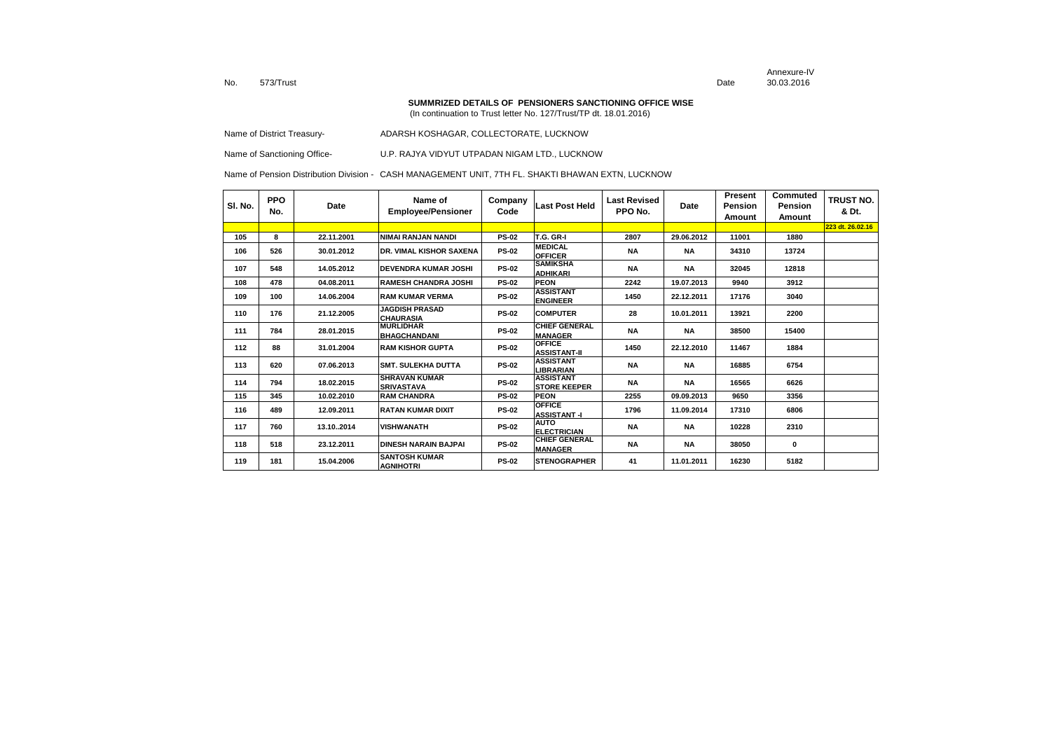Annexure-IVDate 30.03.2016

### **SUMMRIZED DETAILS OF PENSIONERS SANCTIONING OFFICE WISE**

(In continuation to Trust letter No. 127/Trust/TP dt. 18.01.2016)

Name of District Treasury-<br>
ADARSH KOSHAGAR, COLLECTORATE, LUCKNOW

Name of Sanctioning Office- U.P. RAJYA VIDYUT UTPADAN NIGAM LTD., LUCKNOW

| SI. No. | <b>PPO</b><br>No. | Date       | Name of<br><b>Employee/Pensioner</b>      | Company<br>Code | Last Post Held                           | Last Revised<br>PPO No. | <b>Date</b> | Present<br>Pension<br>Amount | Commuted<br>Pension<br>Amount | <b>TRUST NO.</b><br>& Dt. |
|---------|-------------------|------------|-------------------------------------------|-----------------|------------------------------------------|-------------------------|-------------|------------------------------|-------------------------------|---------------------------|
|         |                   |            |                                           |                 |                                          |                         |             |                              |                               | 223 dt. 26.02.16          |
| 105     | 8                 | 22.11.2001 | NIMAI RANJAN NANDI                        | <b>PS-02</b>    | <b>T.G. GR-I</b>                         | 2807                    | 29.06.2012  | 11001                        | 1880                          |                           |
| 106     | 526               | 30.01.2012 | <b>DR. VIMAL KISHOR SAXENA</b>            | <b>PS-02</b>    | <b>MEDICAL</b><br><b>OFFICER</b>         | <b>NA</b>               | <b>NA</b>   | 34310                        | 13724                         |                           |
| 107     | 548               | 14.05.2012 | <b>IDEVENDRA KUMAR JOSHI</b>              | <b>PS-02</b>    | <b>SAMIKSHA</b><br><b>ADHIKARI</b>       | <b>NA</b>               | <b>NA</b>   | 32045                        | 12818                         |                           |
| 108     | 478               | 04.08.2011 | <b>RAMESH CHANDRA JOSHI</b>               | <b>PS-02</b>    | <b>PEON</b>                              | 2242                    | 19.07.2013  | 9940                         | 3912                          |                           |
| 109     | 100               | 14.06.2004 | <b>RAM KUMAR VERMA</b>                    | <b>PS-02</b>    | <b>ASSISTANT</b><br><b>ENGINEER</b>      | 1450                    | 22.12.2011  | 17176                        | 3040                          |                           |
| 110     | 176               | 21.12.2005 | <b>JAGDISH PRASAD</b><br><b>CHAURASIA</b> | <b>PS-02</b>    | <b>COMPUTER</b>                          | 28                      | 10.01.2011  | 13921                        | 2200                          |                           |
| 111     | 784               | 28.01.2015 | <b>MURLIDHAR</b><br><b>BHAGCHANDANI</b>   | <b>PS-02</b>    | <b>CHIEF GENERAL</b><br><b>MANAGER</b>   | <b>NA</b>               | <b>NA</b>   | 38500                        | 15400                         |                           |
| 112     | 88                | 31.01.2004 | <b>IRAM KISHOR GUPTA</b>                  | <b>PS-02</b>    | <b>OFFICE</b><br><b>ASSISTANT-II</b>     | 1450                    | 22.12.2010  | 11467                        | 1884                          |                           |
| 113     | 620               | 07.06.2013 | <b>ISMT. SULEKHA DUTTA</b>                | <b>PS-02</b>    | <b>ASSISTANT</b><br><b>LIBRARIAN</b>     | <b>NA</b>               | <b>NA</b>   | 16885                        | 6754                          |                           |
| 114     | 794               | 18.02.2015 | <b>SHRAVAN KUMAR</b><br><b>SRIVASTAVA</b> | <b>PS-02</b>    | <b>ASSISTANT</b><br><b>ISTORE KEEPER</b> | <b>NA</b>               | <b>NA</b>   | 16565                        | 6626                          |                           |
| 115     | 345               | 10.02.2010 | <b>RAM CHANDRA</b>                        | <b>PS-02</b>    | <b>PEON</b>                              | 2255                    | 09.09.2013  | 9650                         | 3356                          |                           |
| 116     | 489               | 12.09.2011 | RATAN KUMAR DIXIT                         | <b>PS-02</b>    | <b>OFFICE</b><br><b>ASSISTANT-I</b>      | 1796                    | 11.09.2014  | 17310                        | 6806                          |                           |
| 117     | 760               | 13.102014  | <b>VISHWANATH</b>                         | <b>PS-02</b>    | <b>AUTO</b><br><b>ELECTRICIAN</b>        | <b>NA</b>               | <b>NA</b>   | 10228                        | 2310                          |                           |
| 118     | 518               | 23.12.2011 | <b>DINESH NARAIN BAJPAI</b>               | <b>PS-02</b>    | <b>CHIEF GENERAL</b><br><b>MANAGER</b>   | <b>NA</b>               | <b>NA</b>   | 38050                        | 0                             |                           |
| 119     | 181               | 15.04.2006 | <b>SANTOSH KUMAR</b><br><b>AGNIHOTRI</b>  | <b>PS-02</b>    | <b>ISTENOGRAPHER</b>                     | 41                      | 11.01.2011  | 16230                        | 5182                          |                           |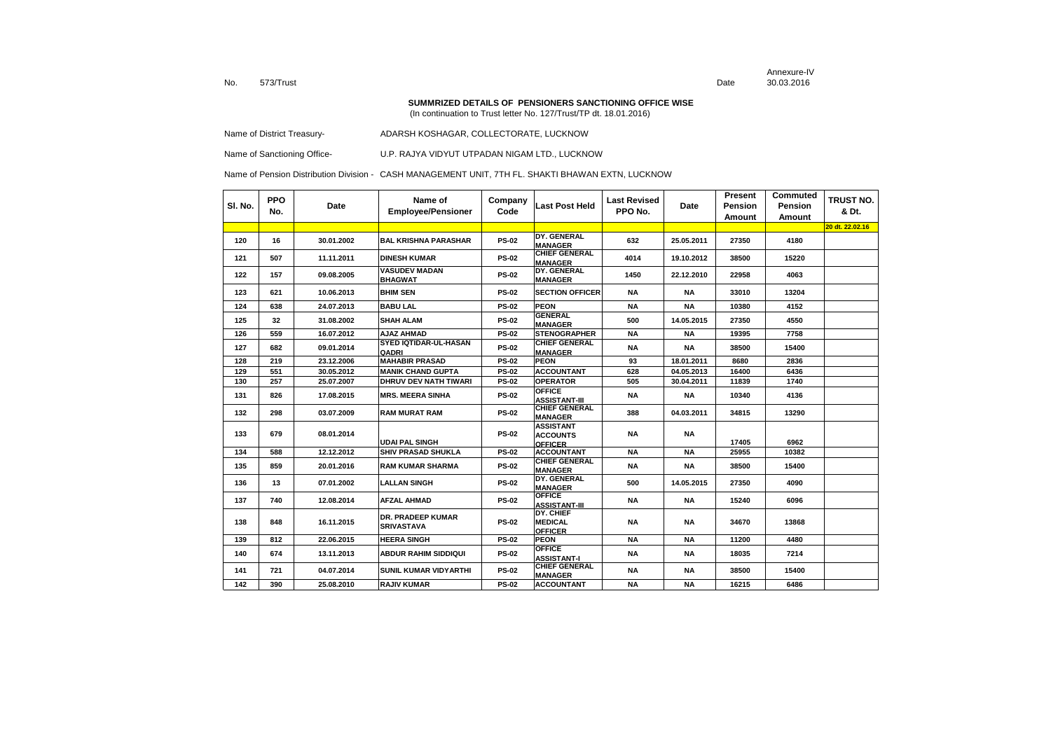Annexure-IVDate 30.03.2016

#### **SUMMRIZED DETAILS OF PENSIONERS SANCTIONING OFFICE WISE**

(In continuation to Trust letter No. 127/Trust/TP dt. 18.01.2016)

Name of District Treasury-<br>
ADARSH KOSHAGAR, COLLECTORATE, LUCKNOW

Name of Sanctioning Office- U.P. RAJYA VIDYUT UTPADAN NIGAM LTD., LUCKNOW

| SI. No. | <b>PPO</b><br>No. | Date       | Name of<br><b>Employee/Pensioner</b>          | Company<br>Code | Last Post Held                                        | <b>Last Revised</b><br>PPO No. | Date       | Present<br>Pension<br>Amount | Commuted<br><b>Pension</b><br>Amount | <b>TRUST NO.</b><br>& Dt. |
|---------|-------------------|------------|-----------------------------------------------|-----------------|-------------------------------------------------------|--------------------------------|------------|------------------------------|--------------------------------------|---------------------------|
|         |                   |            |                                               |                 |                                                       |                                |            |                              |                                      | 20 dt. 22.02.16           |
| 120     | 16                | 30.01.2002 | <b>BAL KRISHNA PARASHAR</b>                   | <b>PS-02</b>    | DY. GENERAL<br><b>MANAGER</b>                         | 632                            | 25.05.2011 | 27350                        | 4180                                 |                           |
| 121     | 507               | 11.11.2011 | <b>DINESH KUMAR</b>                           | <b>PS-02</b>    | <b>CHIEF GENERAL</b><br><b>MANAGER</b>                | 4014                           | 19.10.2012 | 38500                        | 15220                                |                           |
| 122     | 157               | 09.08.2005 | <b>VASUDEV MADAN</b><br><b>BHAGWAT</b>        | <b>PS-02</b>    | DY. GENERAL<br><b>MANAGER</b>                         | 1450                           | 22.12.2010 | 22958                        | 4063                                 |                           |
| 123     | 621               | 10.06.2013 | <b>BHIM SEN</b>                               | <b>PS-02</b>    | <b>SECTION OFFICER</b>                                | <b>NA</b>                      | <b>NA</b>  | 33010                        | 13204                                |                           |
| 124     | 638               | 24.07.2013 | <b>BABU LAL</b>                               | <b>PS-02</b>    | <b>PEON</b>                                           | <b>NA</b>                      | <b>NA</b>  | 10380                        | 4152                                 |                           |
| 125     | 32                | 31.08.2002 | <b>SHAH ALAM</b>                              | <b>PS-02</b>    | <b>GENERAL</b><br><b>MANAGER</b>                      | 500                            | 14.05.2015 | 27350                        | 4550                                 |                           |
| 126     | 559               | 16.07.2012 | <b>AJAZ AHMAD</b>                             | <b>PS-02</b>    | <b>STENOGRAPHER</b>                                   | <b>NA</b>                      | <b>NA</b>  | 19395                        | 7758                                 |                           |
| 127     | 682               | 09.01.2014 | <b>SYED IQTIDAR-UL-HASAN</b><br>QADRI         | <b>PS-02</b>    | <b>CHIEF GENERAL</b><br><b>MANAGER</b>                | <b>NA</b>                      | <b>NA</b>  | 38500                        | 15400                                |                           |
| 128     | 219               | 23.12.2006 | <b>MAHABIR PRASAD</b>                         | <b>PS-02</b>    | <b>PEON</b>                                           | 93                             | 18.01.2011 | 8680                         | 2836                                 |                           |
| 129     | 551               | 30.05.2012 | <b>MANIK CHAND GUPTA</b>                      | <b>PS-02</b>    | <b>ACCOUNTANT</b>                                     | 628                            | 04.05.2013 | 16400                        | 6436                                 |                           |
| 130     | 257               | 25.07.2007 | <b>DHRUV DEV NATH TIWARI</b>                  | <b>PS-02</b>    | <b>OPERATOR</b>                                       | 505                            | 30.04.2011 | 11839                        | 1740                                 |                           |
| 131     | 826               | 17.08.2015 | <b>MRS. MEERA SINHA</b>                       | <b>PS-02</b>    | <b>OFFICE</b><br><b>ASSISTANT-III</b>                 | <b>NA</b>                      | <b>NA</b>  | 10340                        | 4136                                 |                           |
| 132     | 298               | 03.07.2009 | <b>RAM MURAT RAM</b>                          | <b>PS-02</b>    | <b>CHIEF GENERAL</b><br><b>MANAGER</b>                | 388                            | 04.03.2011 | 34815                        | 13290                                |                           |
| 133     | 679               | 08.01.2014 | <b>UDAI PAL SINGH</b>                         | <b>PS-02</b>    | <b>ASSISTANT</b><br><b>ACCOUNTS</b><br><b>OFFICER</b> | <b>NA</b>                      | <b>NA</b>  | 17405                        | 6962                                 |                           |
| 134     | 588               | 12.12.2012 | <b>SHIV PRASAD SHUKLA</b>                     | <b>PS-02</b>    | <b>ACCOUNTANT</b>                                     | <b>NA</b>                      | <b>NA</b>  | 25955                        | 10382                                |                           |
| 135     | 859               | 20.01.2016 | <b>RAM KUMAR SHARMA</b>                       | <b>PS-02</b>    | <b>CHIEF GENERAL</b><br><b>MANAGER</b>                | <b>NA</b>                      | <b>NA</b>  | 38500                        | 15400                                |                           |
| 136     | 13                | 07.01.2002 | <b>LALLAN SINGH</b>                           | <b>PS-02</b>    | DY. GENERAL<br><b>MANAGER</b>                         | 500                            | 14.05.2015 | 27350                        | 4090                                 |                           |
| 137     | 740               | 12.08.2014 | <b>AFZAL AHMAD</b>                            | <b>PS-02</b>    | <b>OFFICE</b><br><b>ASSISTANT-III</b>                 | <b>NA</b>                      | <b>NA</b>  | 15240                        | 6096                                 |                           |
| 138     | 848               | 16.11.2015 | <b>DR. PRADEEP KUMAR</b><br><b>SRIVASTAVA</b> | <b>PS-02</b>    | DY. CHIEF<br><b>MEDICAL</b><br><b>OFFICER</b>         | <b>NA</b>                      | <b>NA</b>  | 34670                        | 13868                                |                           |
| 139     | 812               | 22.06.2015 | <b>HEERA SINGH</b>                            | <b>PS-02</b>    | <b>PEON</b>                                           | <b>NA</b>                      | <b>NA</b>  | 11200                        | 4480                                 |                           |
| 140     | 674               | 13.11.2013 | <b>ABDUR RAHIM SIDDIQUI</b>                   | <b>PS-02</b>    | <b>OFFICE</b><br><b>ASSISTANT-I</b>                   | ΝA                             | <b>NA</b>  | 18035                        | 7214                                 |                           |
| 141     | 721               | 04.07.2014 | SUNIL KUMAR VIDYARTHI                         | <b>PS-02</b>    | <b>CHIEF GENERAL</b><br><b>MANAGER</b>                | <b>NA</b>                      | <b>NA</b>  | 38500                        | 15400                                |                           |
| 142     | 390               | 25.08.2010 | <b>RAJIV KUMAR</b>                            | <b>PS-02</b>    | <b>ACCOUNTANT</b>                                     | <b>NA</b>                      | <b>NA</b>  | 16215                        | 6486                                 |                           |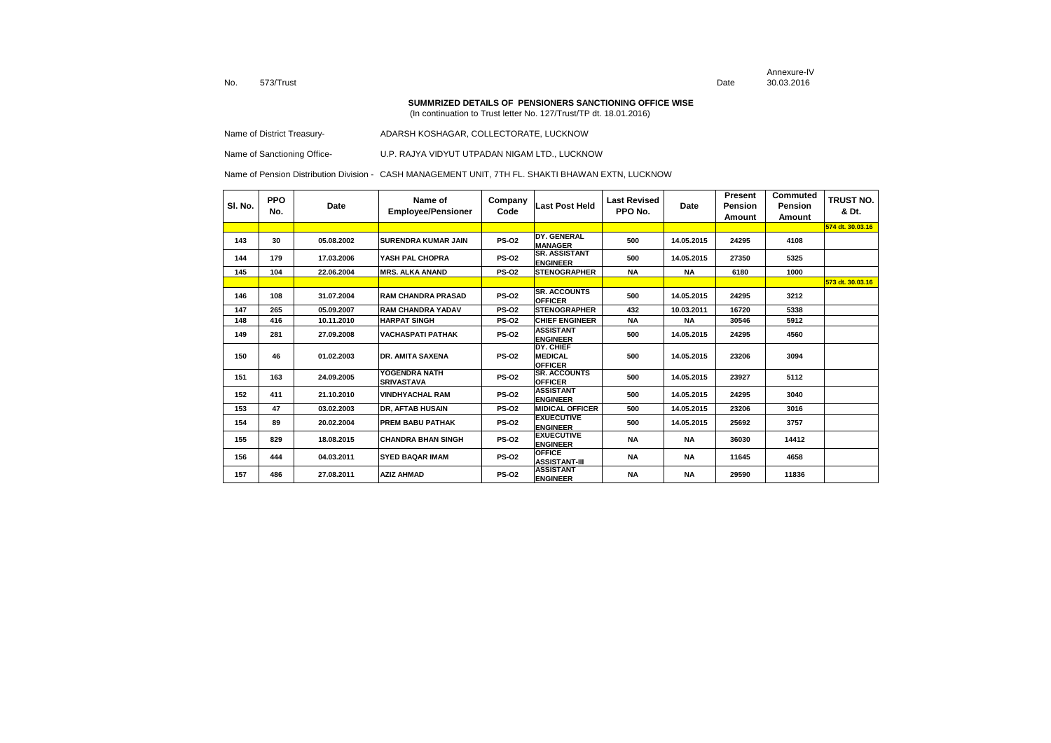Annexure-IVDate 30.03.2016

#### **SUMMRIZED DETAILS OF PENSIONERS SANCTIONING OFFICE WISE**

(In continuation to Trust letter No. 127/Trust/TP dt. 18.01.2016)

Name of District Treasury-<br>
ADARSH KOSHAGAR, COLLECTORATE, LUCKNOW

Name of Sanctioning Office- U.P. RAJYA VIDYUT UTPADAN NIGAM LTD., LUCKNOW

| SI. No. | <b>PPO</b><br>No. | Date       | Name of<br><b>Employee/Pensioner</b> | Company<br>Code | <b>Last Post Held</b>                         | <b>Last Revised</b><br>PPO No. | Date       | Present<br>Pension<br>Amount | Commuted<br>Pension<br>Amount | TRUST NO.<br>& Dt. |
|---------|-------------------|------------|--------------------------------------|-----------------|-----------------------------------------------|--------------------------------|------------|------------------------------|-------------------------------|--------------------|
|         |                   |            |                                      |                 |                                               |                                |            |                              |                               | 574 dt. 30.03.16   |
| 143     | 30                | 05.08.2002 | <b>SURENDRA KUMAR JAIN</b>           | <b>PS-02</b>    | DY. GENERAL<br><b>MANAGER</b>                 | 500                            | 14.05.2015 | 24295                        | 4108                          |                    |
| 144     | 179               | 17.03.2006 | YASH PAL CHOPRA                      | <b>PS-02</b>    | <b>SR. ASSISTANT</b><br><b>ENGINEER</b>       | 500                            | 14.05.2015 | 27350                        | 5325                          |                    |
| 145     | 104               | 22.06.2004 | <b>MRS. ALKA ANAND</b>               | <b>PS-02</b>    | <b>STENOGRAPHER</b>                           | <b>NA</b>                      | <b>NA</b>  | 6180                         | 1000                          |                    |
|         |                   |            |                                      |                 |                                               |                                |            |                              |                               | 573 dt. 30.03.16   |
| 146     | 108               | 31.07.2004 | <b>RAM CHANDRA PRASAD</b>            | <b>PS-02</b>    | <b>SR. ACCOUNTS</b><br><b>OFFICER</b>         | 500                            | 14.05.2015 | 24295                        | 3212                          |                    |
| 147     | 265               | 05.09.2007 | <b>RAM CHANDRA YADAV</b>             | <b>PS-02</b>    | <b>STENOGRAPHER</b>                           | 432                            | 10.03.2011 | 16720                        | 5338                          |                    |
| 148     | 416               | 10.11.2010 | <b>HARPAT SINGH</b>                  | <b>PS-02</b>    | <b>CHIEF ENGINEER</b>                         | <b>NA</b>                      | <b>NA</b>  | 30546                        | 5912                          |                    |
| 149     | 281               | 27.09.2008 | <b>VACHASPATI PATHAK</b>             | <b>PS-02</b>    | <b>ASSISTANT</b><br><b>ENGINEER</b>           | 500                            | 14.05.2015 | 24295                        | 4560                          |                    |
| 150     | 46                | 01.02.2003 | <b>DR. AMITA SAXENA</b>              | <b>PS-02</b>    | DY. CHIEF<br><b>MEDICAL</b><br><b>OFFICER</b> | 500                            | 14.05.2015 | 23206                        | 3094                          |                    |
| 151     | 163               | 24.09.2005 | YOGENDRA NATH<br><b>SRIVASTAVA</b>   | <b>PS-02</b>    | <b>SR. ACCOUNTS</b><br><b>OFFICER</b>         | 500                            | 14.05.2015 | 23927                        | 5112                          |                    |
| 152     | 411               | 21.10.2010 | <b>VINDHYACHAL RAM</b>               | <b>PS-02</b>    | <b>ASSISTANT</b><br><b>ENGINEER</b>           | 500                            | 14.05.2015 | 24295                        | 3040                          |                    |
| 153     | 47                | 03.02.2003 | DR, AFTAB HUSAIN                     | <b>PS-02</b>    | <b>MIDICAL OFFICER</b>                        | 500                            | 14.05.2015 | 23206                        | 3016                          |                    |
| 154     | 89                | 20.02.2004 | <b>PREM BABU PATHAK</b>              | <b>PS-02</b>    | <b>EXUECUTIVE</b><br><b>ENGINEER</b>          | 500                            | 14.05.2015 | 25692                        | 3757                          |                    |
| 155     | 829               | 18.08.2015 | <b>CHANDRA BHAN SINGH</b>            | <b>PS-02</b>    | <b>EXUECUTIVE</b><br><b>ENGINEER</b>          | <b>NA</b>                      | <b>NA</b>  | 36030                        | 14412                         |                    |
| 156     | 444               | 04.03.2011 | <b>SYED BAQAR IMAM</b>               | <b>PS-02</b>    | <b>OFFICE</b><br><b>ASSISTANT-III</b>         | ΝA                             | <b>NA</b>  | 11645                        | 4658                          |                    |
| 157     | 486               | 27.08.2011 | <b>AZIZ AHMAD</b>                    | <b>PS-02</b>    | <b>ASSISTANT</b><br><b>ENGINEER</b>           | <b>NA</b>                      | <b>NA</b>  | 29590                        | 11836                         |                    |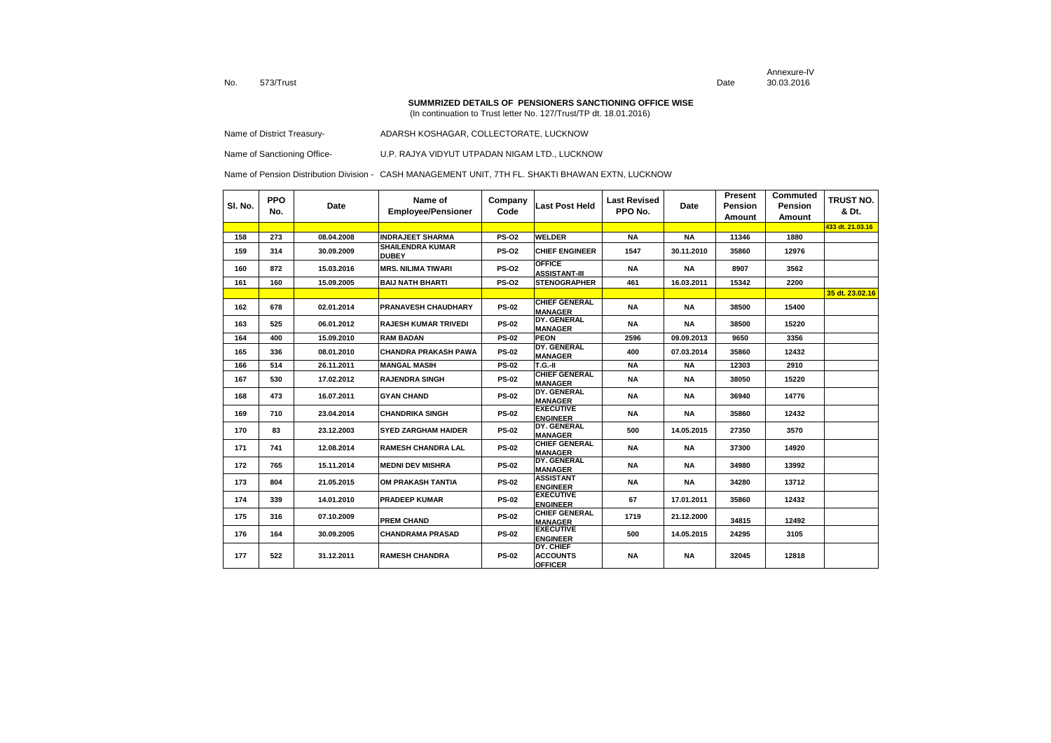Annexure-IVDate 30.03.2016

#### **SUMMRIZED DETAILS OF PENSIONERS SANCTIONING OFFICE WISE**

(In continuation to Trust letter No. 127/Trust/TP dt. 18.01.2016)

Name of District Treasury-<br>
ADARSH KOSHAGAR, COLLECTORATE, LUCKNOW

Name of Sanctioning Office- U.P. RAJYA VIDYUT UTPADAN NIGAM LTD., LUCKNOW

| SI. No. | <b>PPO</b><br>No. | Date       | Name of<br><b>Employee/Pensioner</b>    | Company<br>Code | Last Post Held                                        | <b>Last Revised</b><br>PPO No. | Date       | Present<br>Pension<br>Amount | Commuted<br>Pension<br>Amount | TRUST NO.<br>& Dt. |
|---------|-------------------|------------|-----------------------------------------|-----------------|-------------------------------------------------------|--------------------------------|------------|------------------------------|-------------------------------|--------------------|
|         |                   |            |                                         |                 |                                                       |                                |            |                              |                               | 433 dt. 21.03.16   |
| 158     | 273               | 08.04.2008 | <b>INDRAJEET SHARMA</b>                 | <b>PS-02</b>    | <b>WELDER</b>                                         | <b>NA</b>                      | <b>NA</b>  | 11346                        | 1880                          |                    |
| 159     | 314               | 30.09.2009 | <b>SHAILENDRA KUMAR</b><br><b>DUBEY</b> | <b>PS-02</b>    | <b>CHIEF ENGINEER</b>                                 | 1547                           | 30.11.2010 | 35860                        | 12976                         |                    |
| 160     | 872               | 15.03.2016 | <b>MRS. NILIMA TIWARI</b>               | <b>PS-02</b>    | <b>OFFICE</b><br><b>ASSISTANT-III</b>                 | <b>NA</b>                      | <b>NA</b>  | 8907                         | 3562                          |                    |
| 161     | 160               | 15.09.2005 | <b>BAIJ NATH BHARTI</b>                 | <b>PS-02</b>    | <b>STENOGRAPHER</b>                                   | 461                            | 16.03.2011 | 15342                        | 2200                          |                    |
|         |                   |            |                                         |                 |                                                       |                                |            |                              |                               | 35 dt. 23.02.16    |
| 162     | 678               | 02.01.2014 | <b>PRANAVESH CHAUDHARY</b>              | <b>PS-02</b>    | <b>CHIEF GENERAL</b><br><b>MANAGER</b>                | <b>NA</b>                      | <b>NA</b>  | 38500                        | 15400                         |                    |
| 163     | 525               | 06.01.2012 | <b>RAJESH KUMAR TRIVEDI</b>             | <b>PS-02</b>    | DY. GENERAL<br><b>MANAGER</b>                         | <b>NA</b>                      | NA         | 38500                        | 15220                         |                    |
| 164     | 400               | 15.09.2010 | <b>RAM BADAN</b>                        | <b>PS-02</b>    | <b>PEON</b>                                           | 2596                           | 09.09.2013 | 9650                         | 3356                          |                    |
| 165     | 336               | 08.01.2010 | <b>CHANDRA PRAKASH PAWA</b>             | <b>PS-02</b>    | DY. GENERAL<br><b>MANAGER</b>                         | 400                            | 07.03.2014 | 35860                        | 12432                         |                    |
| 166     | 514               | 26.11.2011 | <b>MANGAL MASIH</b>                     | <b>PS-02</b>    | $T.G.-II$                                             | <b>NA</b>                      | <b>NA</b>  | 12303                        | 2910                          |                    |
| 167     | 530               | 17.02.2012 | <b>RAJENDRA SINGH</b>                   | <b>PS-02</b>    | <b>CHIEF GENERAL</b><br><b>MANAGER</b>                | <b>NA</b>                      | <b>NA</b>  | 38050                        | 15220                         |                    |
| 168     | 473               | 16.07.2011 | <b>GYAN CHAND</b>                       | <b>PS-02</b>    | DY. GENERAL<br><b>MANAGER</b>                         | <b>NA</b>                      | <b>NA</b>  | 36940                        | 14776                         |                    |
| 169     | 710               | 23.04.2014 | <b>CHANDRIKA SINGH</b>                  | <b>PS-02</b>    | <b>EXECUTIVE</b><br><b>ENGINEER</b>                   | <b>NA</b>                      | <b>NA</b>  | 35860                        | 12432                         |                    |
| 170     | 83                | 23.12.2003 | <b>SYED ZARGHAM HAIDER</b>              | <b>PS-02</b>    | DY. GENERAL<br><b>MANAGER</b>                         | 500                            | 14.05.2015 | 27350                        | 3570                          |                    |
| 171     | 741               | 12.08.2014 | <b>RAMESH CHANDRA LAL</b>               | <b>PS-02</b>    | <b>CHIEF GENERAL</b><br><b>MANAGER</b>                | <b>NA</b>                      | <b>NA</b>  | 37300                        | 14920                         |                    |
| 172     | 765               | 15.11.2014 | <b>MEDNI DEV MISHRA</b>                 | <b>PS-02</b>    | DY. GENERAL<br><b>MANAGER</b>                         | <b>NA</b>                      | <b>NA</b>  | 34980                        | 13992                         |                    |
| 173     | 804               | 21.05.2015 | OM PRAKASH TANTIA                       | <b>PS-02</b>    | <b>ASSISTANT</b><br><b>ENGINEER</b>                   | <b>NA</b>                      | <b>NA</b>  | 34280                        | 13712                         |                    |
| 174     | 339               | 14.01.2010 | <b>PRADEEP KUMAR</b>                    | <b>PS-02</b>    | <b>EXECUTIVE</b><br><b>ENGINEER</b>                   | 67                             | 17.01.2011 | 35860                        | 12432                         |                    |
| 175     | 316               | 07.10.2009 | <b>PREM CHAND</b>                       | <b>PS-02</b>    | <b>CHIEF GENERAL</b><br><b>MANAGER</b>                | 1719                           | 21.12.2000 | 34815                        | 12492                         |                    |
| 176     | 164               | 30.09.2005 | <b>CHANDRAMA PRASAD</b>                 | <b>PS-02</b>    | <b>EXECUTIVE</b><br><b>ENGINEER</b>                   | 500                            | 14.05.2015 | 24295                        | 3105                          |                    |
| 177     | 522               | 31.12.2011 | <b>RAMESH CHANDRA</b>                   | <b>PS-02</b>    | <b>DY. CHIEF</b><br><b>ACCOUNTS</b><br><b>OFFICER</b> | <b>NA</b>                      | <b>NA</b>  | 32045                        | 12818                         |                    |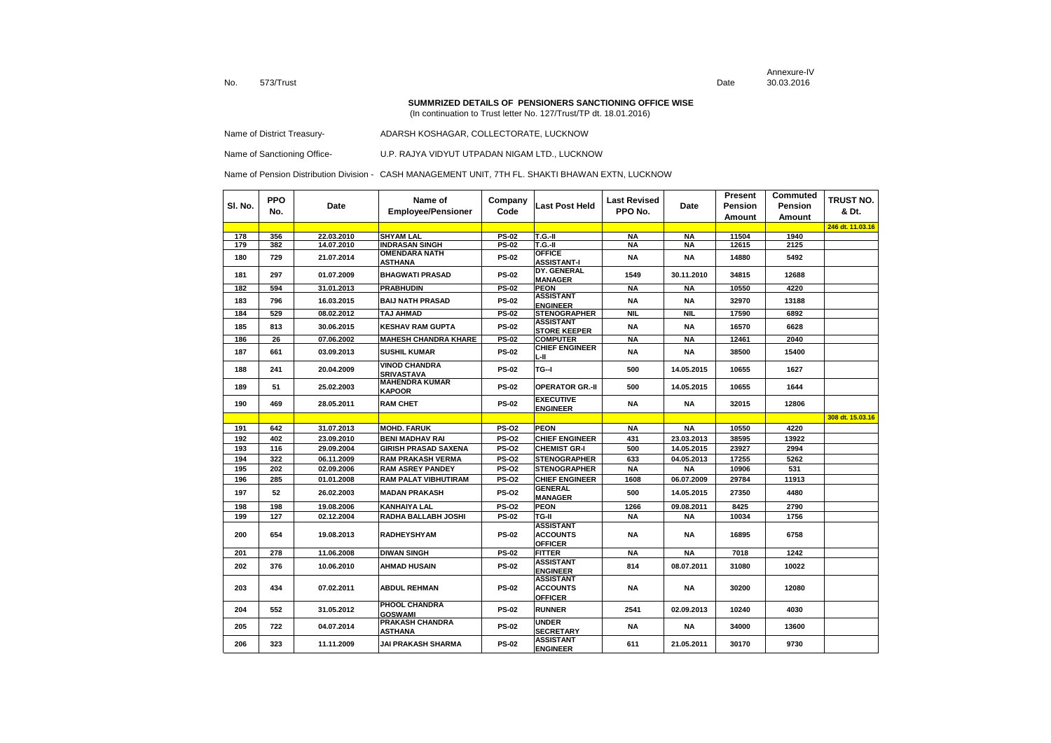Annexure-IVDate 30.03.2016

#### **SUMMRIZED DETAILS OF PENSIONERS SANCTIONING OFFICE WISE**

(In continuation to Trust letter No. 127/Trust/TP dt. 18.01.2016)

| Name of District Treasury- |  | ADARSH KOSHAGAR. COLLECTORATE. LUCKNOW |
|----------------------------|--|----------------------------------------|
|----------------------------|--|----------------------------------------|

Name of Sanctioning Office- U.P. RAJYA VIDYUT UTPADAN NIGAM LTD., LUCKNOW

| SI. No. | <b>PPO</b><br>No. | Date       | Name of<br><b>Employee/Pensioner</b>      | Company<br>Code | Last Post Held                                        | <b>Last Revised</b><br>PPO No. | Date       | Present<br>Pension<br>Amount | Commuted<br>Pension<br>Amount | TRUST NO.<br>& Dt. |
|---------|-------------------|------------|-------------------------------------------|-----------------|-------------------------------------------------------|--------------------------------|------------|------------------------------|-------------------------------|--------------------|
|         |                   |            |                                           |                 |                                                       |                                |            |                              |                               | 246 dt. 11.03.16   |
| 178     | 356               | 22.03.2010 | <b>SHYAM LAL</b>                          | <b>PS-02</b>    | <b>T.G.-II</b>                                        | <b>NA</b>                      | <b>NA</b>  | 11504                        | 1940                          |                    |
| 179     | 382               | 14.07.2010 | <b>INDRASAN SINGH</b>                     | <b>PS-02</b>    | T.G.-II                                               | <b>NA</b>                      | <b>NA</b>  | 12615                        | 2125                          |                    |
| 180     | 729               | 21.07.2014 | <b>OMENDARA NATH</b><br>ASTHANA           | <b>PS-02</b>    | <b>OFFICE</b><br><b>ASSISTANT-I</b>                   | <b>NA</b>                      | <b>NA</b>  | 14880                        | 5492                          |                    |
| 181     | 297               | 01.07.2009 | <b>BHAGWATI PRASAD</b>                    | <b>PS-02</b>    | DY. GENERAL<br><b>MANAGER</b>                         | 1549                           | 30.11.2010 | 34815                        | 12688                         |                    |
| 182     | 594               | 31.01.2013 | <b>PRABHUDIN</b>                          | $PS-02$         | <b>PEON</b>                                           | <b>NA</b>                      | <b>NA</b>  | 10550                        | 4220                          |                    |
| 183     | 796               | 16.03.2015 | <b>BAIJ NATH PRASAD</b>                   | <b>PS-02</b>    | <b>ASSISTANT</b><br><b>ENGINEER</b>                   | NA                             | NA         | 32970                        | 13188                         |                    |
| 184     | 529               | 08.02.2012 | TAJ AHMAD                                 | <b>PS-02</b>    | <b>STENOGRAPHER</b>                                   | <b>NIL</b>                     | NIL.       | 17590                        | 6892                          |                    |
| 185     | 813               | 30.06.2015 | <b>KESHAV RAM GUPTA</b>                   | <b>PS-02</b>    | <b>ASSISTANT</b><br><b>STORE KEEPER</b>               | <b>NA</b>                      | <b>NA</b>  | 16570                        | 6628                          |                    |
| 186     | 26                | 07.06.2002 | <b>MAHESH CHANDRA KHARE</b>               | <b>PS-02</b>    | <b>COMPUTER</b>                                       | <b>NA</b>                      | <b>NA</b>  | 12461                        | 2040                          |                    |
| 187     | 661               | 03.09.2013 | <b>SUSHIL KUMAR</b>                       | <b>PS-02</b>    | <b>CHIEF ENGINEER</b><br>L-II                         | NA                             | NA         | 38500                        | 15400                         |                    |
| 188     | 241               | 20.04.2009 | <b>VINOD CHANDRA</b><br><b>SRIVASTAVA</b> | <b>PS-02</b>    | TG-I                                                  | 500                            | 14.05.2015 | 10655                        | 1627                          |                    |
| 189     | 51                | 25.02.2003 | <b>MAHENDRA KUMAR</b><br><b>KAPOOR</b>    | <b>PS-02</b>    | <b>OPERATOR GR.-II</b>                                | 500                            | 14.05.2015 | 10655                        | 1644                          |                    |
| 190     | 469               | 28.05.2011 | <b>RAM CHET</b>                           | <b>PS-02</b>    | <b>EXECUTIVE</b><br><b>ENGINEER</b>                   | <b>NA</b>                      | <b>NA</b>  | 32015                        | 12806                         |                    |
|         |                   |            |                                           |                 |                                                       |                                |            |                              |                               | 308 dt. 15.03.16   |
| 191     | 642               | 31.07.2013 | <b>MOHD. FARUK</b>                        | <b>PS-02</b>    | <b>PEON</b>                                           | <b>NA</b>                      | <b>NA</b>  | 10550                        | 4220                          |                    |
| 192     | 402               | 23.09.2010 | <b>BENI MADHAV RAI</b>                    | <b>PS-02</b>    | <b>CHIEF ENGINEER</b>                                 | 431                            | 23.03.2013 | 38595                        | 13922                         |                    |
| 193     | 116               | 29.09.2004 | <b>GIRISH PRASAD SAXENA</b>               | <b>PS-02</b>    | <b>CHEMIST GR-I</b>                                   | 500                            | 14.05.2015 | 23927                        | 2994                          |                    |
| 194     | 322               | 06.11.2009 | <b>RAM PRAKASH VERMA</b>                  | <b>PS-02</b>    | <b>STENOGRAPHER</b>                                   | 633                            | 04.05.2013 | 17255                        | 5262                          |                    |
| 195     | 202               | 02.09.2006 | <b>RAM ASREY PANDEY</b>                   | <b>PS-02</b>    | <b>STENOGRAPHER</b>                                   | <b>NA</b>                      | <b>NA</b>  | 10906                        | 531                           |                    |
| 196     | 285               | 01.01.2008 | <b>RAM PALAT VIBHUTIRAM</b>               | <b>PS-02</b>    | <b>CHIEF ENGINEER</b>                                 | 1608                           | 06.07.2009 | 29784                        | 11913                         |                    |
| 197     | 52                | 26.02.2003 | <b>MADAN PRAKASH</b>                      | <b>PS-02</b>    | <b>GENERAL</b><br><b>MANAGER</b>                      | 500                            | 14.05.2015 | 27350                        | 4480                          |                    |
| 198     | 198               | 19.08.2006 | <b>KANHAIYA LAL</b>                       | <b>PS-02</b>    | <b>PEON</b>                                           | 1266                           | 09.08.2011 | 8425                         | 2790                          |                    |
| 199     | 127               | 02.12.2004 | RADHA BALLABH JOSHI                       | <b>PS-02</b>    | TG-II                                                 | <b>NA</b>                      | <b>NA</b>  | 10034                        | 1756                          |                    |
| 200     | 654               | 19.08.2013 | <b>RADHEYSHYAM</b>                        | <b>PS-02</b>    | <b>ASSISTANT</b><br><b>ACCOUNTS</b><br><b>OFFICER</b> | <b>NA</b>                      | NA         | 16895                        | 6758                          |                    |
| 201     | 278               | 11.06.2008 | <b>DIWAN SINGH</b>                        | <b>PS-02</b>    | <b>FITTER</b>                                         | <b>NA</b>                      | <b>NA</b>  | 7018                         | 1242                          |                    |
| 202     | 376               | 10.06.2010 | <b>AHMAD HUSAIN</b>                       | <b>PS-02</b>    | <b>ASSISTANT</b><br><b>ENGINEER</b>                   | 814                            | 08.07.2011 | 31080                        | 10022                         |                    |
| 203     | 434               | 07.02.2011 | <b>ABDUL REHMAN</b>                       | <b>PS-02</b>    | <b>ASSISTANT</b><br><b>ACCOUNTS</b><br><b>OFFICER</b> | NA                             | NA         | 30200                        | 12080                         |                    |
| 204     | 552               | 31.05.2012 | PHOOL CHANDRA<br><b>GOSWAMI</b>           | <b>PS-02</b>    | <b>RUNNER</b>                                         | 2541                           | 02.09.2013 | 10240                        | 4030                          |                    |
| 205     | 722               | 04.07.2014 | PRAKASH CHANDRA<br>ASTHANA                | <b>PS-02</b>    | <b>UNDER</b><br><b>SECRETARY</b>                      | NA                             | <b>NA</b>  | 34000                        | 13600                         |                    |
| 206     | 323               | 11.11.2009 | JAI PRAKASH SHARMA                        | <b>PS-02</b>    | <b>ASSISTANT</b><br><b>ENGINEER</b>                   | 611                            | 21.05.2011 | 30170                        | 9730                          |                    |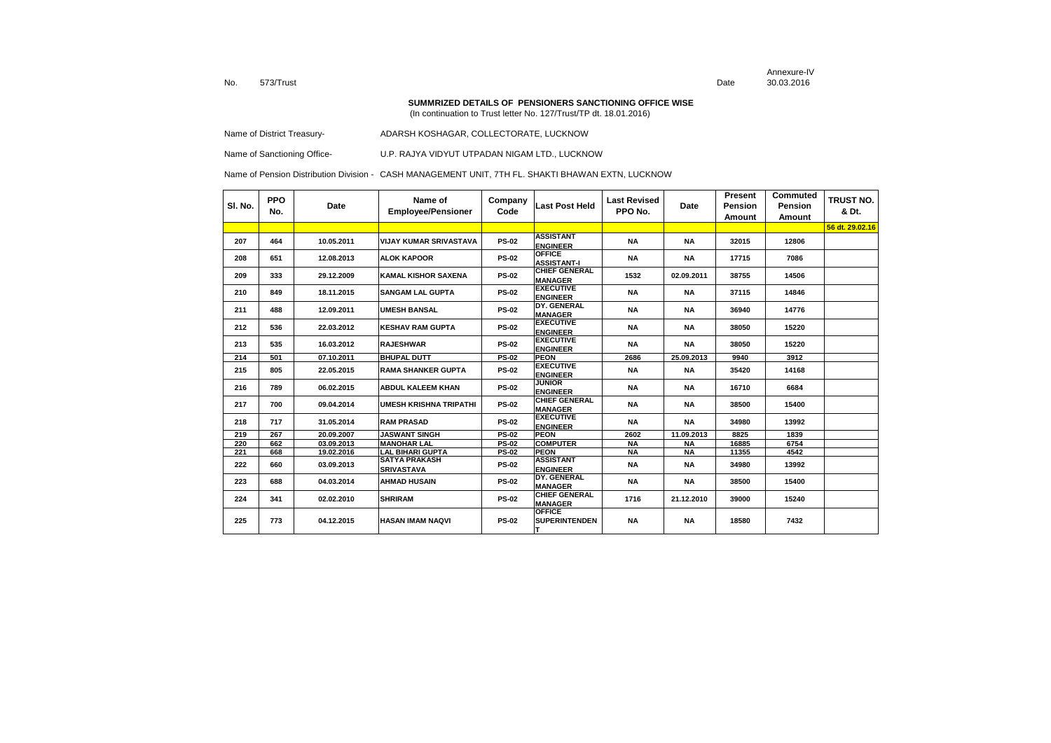Annexure-IVDate 30.03.2016

#### **SUMMRIZED DETAILS OF PENSIONERS SANCTIONING OFFICE WISE**

(In continuation to Trust letter No. 127/Trust/TP dt. 18.01.2016)

Name of District Treasury-<br>
ADARSH KOSHAGAR, COLLECTORATE, LUCKNOW

Name of Sanctioning Office- U.P. RAJYA VIDYUT UTPADAN NIGAM LTD., LUCKNOW

| SI. No. | <b>PPO</b><br>No. | Date       | Name of<br><b>Employee/Pensioner</b>      | Company<br>Code | <b>Last Post Held</b>                  | Last Revised<br>PPO No. | Date       | Present<br>Pension<br>Amount | Commuted<br>Pension<br>Amount | <b>TRUST NO.</b><br>& Dt. |
|---------|-------------------|------------|-------------------------------------------|-----------------|----------------------------------------|-------------------------|------------|------------------------------|-------------------------------|---------------------------|
|         |                   |            |                                           |                 |                                        |                         |            |                              |                               | 56 dt. 29.02.16           |
| 207     | 464               | 10.05.2011 | <b>VIJAY KUMAR SRIVASTAVA</b>             | <b>PS-02</b>    | <b>ASSISTANT</b><br><b>ENGINEER</b>    | <b>NA</b>               | <b>NA</b>  | 32015                        | 12806                         |                           |
| 208     | 651               | 12.08.2013 | <b>ALOK KAPOOR</b>                        | <b>PS-02</b>    | <b>OFFICE</b><br><b>ASSISTANT-I</b>    | <b>NA</b>               | <b>NA</b>  | 17715                        | 7086                          |                           |
| 209     | 333               | 29.12.2009 | <b>KAMAL KISHOR SAXENA</b>                | <b>PS-02</b>    | <b>CHIEF GENERAL</b><br><b>MANAGER</b> | 1532                    | 02.09.2011 | 38755                        | 14506                         |                           |
| 210     | 849               | 18.11.2015 | <b>SANGAM LAL GUPTA</b>                   | <b>PS-02</b>    | <b>EXECUTIVE</b><br><b>ENGINEER</b>    | NA                      | <b>NA</b>  | 37115                        | 14846                         |                           |
| 211     | 488               | 12.09.2011 | <b>UMESH BANSAL</b>                       | <b>PS-02</b>    | DY. GENERAL<br><b>MANAGER</b>          | <b>NA</b>               | <b>NA</b>  | 36940                        | 14776                         |                           |
| 212     | 536               | 22.03.2012 | <b>KESHAV RAM GUPTA</b>                   | <b>PS-02</b>    | <b>EXECUTIVE</b><br><b>ENGINEER</b>    | <b>NA</b>               | <b>NA</b>  | 38050                        | 15220                         |                           |
| 213     | 535               | 16.03.2012 | <b>RAJESHWAR</b>                          | <b>PS-02</b>    | <b>EXECUTIVE</b><br><b>ENGINEER</b>    | <b>NA</b>               | <b>NA</b>  | 38050                        | 15220                         |                           |
| 214     | 501               | 07.10.2011 | <b>BHUPAL DUTT</b>                        | <b>PS-02</b>    | <b>PEON</b>                            | 2686                    | 25.09.2013 | 9940                         | 3912                          |                           |
| 215     | 805               | 22.05.2015 | <b>RAMA SHANKER GUPTA</b>                 | <b>PS-02</b>    | <b>EXECUTIVE</b><br><b>ENGINEER</b>    | <b>NA</b>               | <b>NA</b>  | 35420                        | 14168                         |                           |
| 216     | 789               | 06.02.2015 | <b>ABDUL KALEEM KHAN</b>                  | <b>PS-02</b>    | <b>JUNIOR</b><br><b>ENGINEER</b>       | <b>NA</b>               | <b>NA</b>  | 16710                        | 6684                          |                           |
| 217     | 700               | 09.04.2014 | <b>UMESH KRISHNA TRIPATHI</b>             | <b>PS-02</b>    | <b>CHIEF GENERAL</b><br><b>MANAGER</b> | <b>NA</b>               | <b>NA</b>  | 38500                        | 15400                         |                           |
| 218     | 717               | 31.05.2014 | <b>RAM PRASAD</b>                         | <b>PS-02</b>    | <b>EXECUTIVE</b><br><b>ENGINEER</b>    | <b>NA</b>               | <b>NA</b>  | 34980                        | 13992                         |                           |
| 219     | 267               | 20.09.2007 | <b>JASWANT SINGH</b>                      | <b>PS-02</b>    | <b>PEON</b>                            | 2602                    | 11.09.2013 | 8825                         | 1839                          |                           |
| 220     | 662               | 03.09.2013 | <b>MANOHAR LAL</b>                        | <b>PS-02</b>    | <b>COMPUTER</b>                        | <b>NA</b>               | ΝA         | 16885                        | 6754                          |                           |
| 221     | 668               | 19.02.2016 | <b>LAL BIHARI GUPTA</b>                   | <b>PS-02</b>    | <b>PEON</b>                            | <b>NA</b>               | <b>NA</b>  | 11355                        | 4542                          |                           |
| 222     | 660               | 03.09.2013 | <b>SATYA PRAKASH</b><br><b>SRIVASTAVA</b> | <b>PS-02</b>    | <b>ASSISTANT</b><br><b>ENGINEER</b>    | <b>NA</b>               | <b>NA</b>  | 34980                        | 13992                         |                           |
| 223     | 688               | 04.03.2014 | <b>AHMAD HUSAIN</b>                       | <b>PS-02</b>    | DY. GENERAL<br><b>MANAGER</b>          | <b>NA</b>               | NA         | 38500                        | 15400                         |                           |
| 224     | 341               | 02.02.2010 | <b>SHRIRAM</b>                            | <b>PS-02</b>    | <b>CHIEF GENERAL</b><br><b>MANAGER</b> | 1716                    | 21.12.2010 | 39000                        | 15240                         |                           |
| 225     | 773               | 04.12.2015 | <b>HASAN IMAM NAQVI</b>                   | <b>PS-02</b>    | <b>OFFICE</b><br><b>SUPERINTENDEN</b>  | <b>NA</b>               | <b>NA</b>  | 18580                        | 7432                          |                           |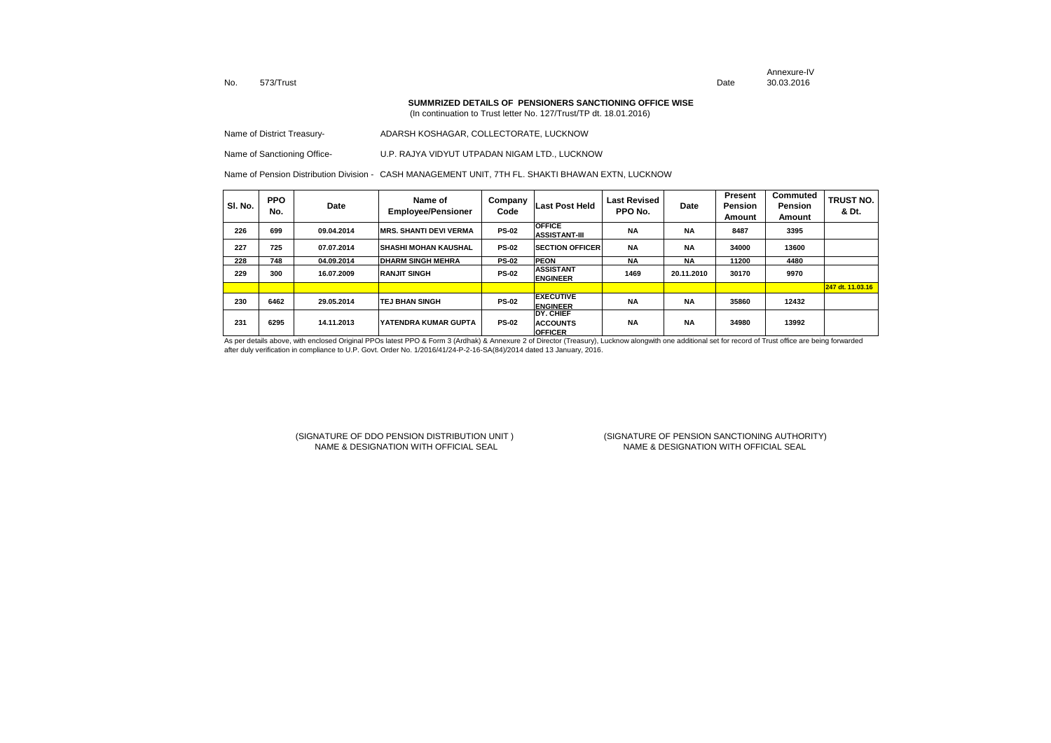Annexure-IVDate 30.03.2016

**SUMMRIZED DETAILS OF PENSIONERS SANCTIONING OFFICE WISE**

(In continuation to Trust letter No. 127/Trust/TP dt. 18.01.2016)

| Name of District Treasury- | ADARSH KOSHAGAR. COLLECTORATE. LUCKNOW |
|----------------------------|----------------------------------------|
|                            |                                        |

Name of Sanctioning Office- U.P. RAJYA VIDYUT UTPADAN NIGAM LTD., LUCKNOW

Name of Pension Distribution Division - CASH MANAGEMENT UNIT, 7TH FL. SHAKTI BHAWAN EXTN, LUCKNOW

| SI. No. | <b>PPO</b><br>No. | Date       | Name of<br><b>Employee/Pensioner</b> | Company<br>Code | Last Post Held                                 | Last Revised<br>PPO No. | Date       | Present<br><b>Pension</b><br>Amount | <b>Commuted</b><br>Pension<br>Amount | <b>TRUST NO.</b><br>& Dt. |
|---------|-------------------|------------|--------------------------------------|-----------------|------------------------------------------------|-------------------------|------------|-------------------------------------|--------------------------------------|---------------------------|
| 226     | 699               | 09.04.2014 | <b>MRS. SHANTI DEVI VERMA</b>        | <b>PS-02</b>    | <b>OFFICE</b><br><b>ASSISTANT-III</b>          | <b>NA</b>               | <b>NA</b>  | 8487                                | 3395                                 |                           |
| 227     | 725               | 07.07.2014 | İSHASHI MOHAN KAUSHAL                | <b>PS-02</b>    | <b>SECTION OFFICER</b>                         | <b>NA</b>               | <b>NA</b>  | 34000                               | 13600                                |                           |
| 228     | 748               | 04.09.2014 | <b>IDHARM SINGH MEHRA</b>            | <b>PS-02</b>    | <b>PEON</b>                                    | <b>NA</b>               | <b>NA</b>  | 11200                               | 4480                                 |                           |
| 229     | 300               | 16.07.2009 | <b>RANJIT SINGH</b>                  | <b>PS-02</b>    | <b>ASSISTANT</b><br><b>ENGINEER</b>            | 1469                    | 20.11.2010 | 30170                               | 9970                                 |                           |
|         |                   |            |                                      |                 |                                                |                         |            |                                     |                                      | 247 dt. 11.03.16          |
| 230     | 6462              | 29.05.2014 | <b>TEJ BHAN SINGH</b>                | <b>PS-02</b>    | <b>EXECUTIVE</b><br><b>ENGINEER</b>            | <b>NA</b>               | <b>NA</b>  | 35860                               | 12432                                |                           |
| 231     | 6295              | 14.11.2013 | IYATENDRA KUMAR GUPTA                | <b>PS-02</b>    | DY. CHIEF<br><b>ACCOUNTS</b><br><b>OFFICER</b> | <b>NA</b>               | <b>NA</b>  | 34980                               | 13992                                |                           |

As per details above, with enclosed Original PPOs latest PPO & Form 3 (Ardhak) & Annexure 2 of Director (Treasury), Lucknow alongwith one additional set for record of Trust office are being forwarded after duly verification in compliance to U.P. Govt. Order No. 1/2016/41/24-P-2-16-SA(84)/2014 dated 13 January, 2016.

## (SIGNATURE OF DDO PENSION DISTRIBUTION UNIT ) (SIGNATURE OF PENSION SANCTIONING AUTHORITY) NAME & DESIGNATION WITH OFFICIAL SEAL

NAME & DESIGNATION WITH OFFICIAL SEAL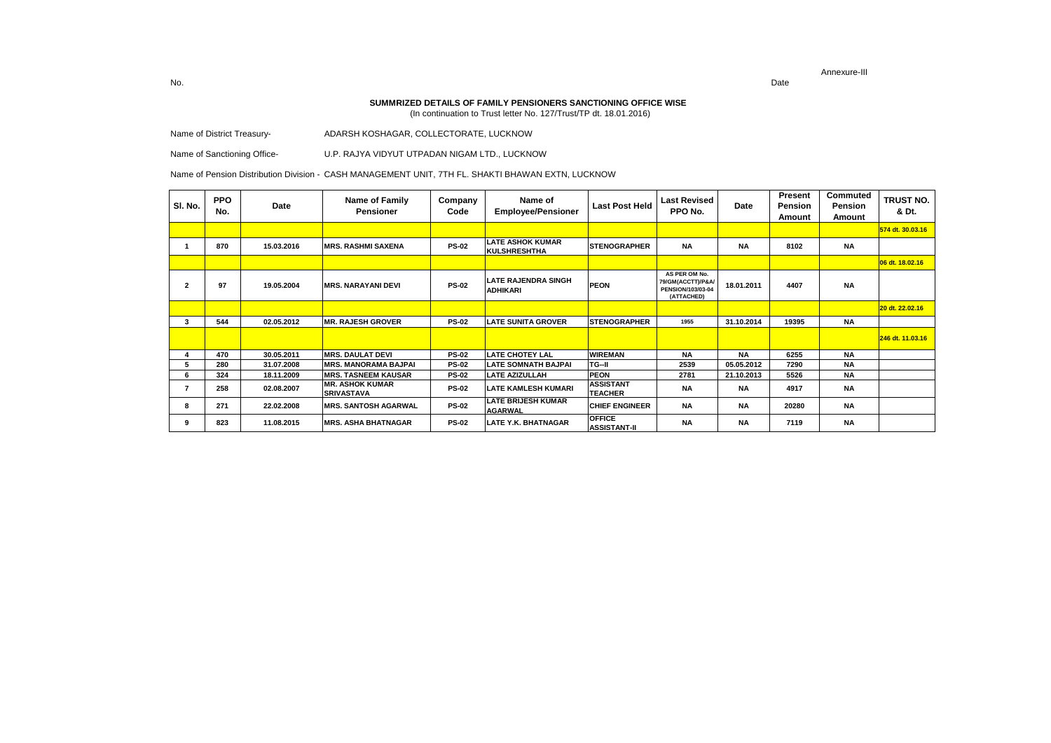Date

 **SUMMRIZED DETAILS OF FAMILY PENSIONERS SANCTIONING OFFICE WISE**

(In continuation to Trust letter No. 127/Trust/TP dt. 18.01.2016)

Name of District Treasury- ADARSH KOSHAGAR, COLLECTORATE, LUCKNOW

Name of Sanctioning Office- U.P. RAJYA VIDYUT UTPADAN NIGAM LTD., LUCKNOW

Name of Pension Distribution Division - CASH MANAGEMENT UNIT, 7TH FL. SHAKTI BHAWAN EXTN, LUCKNOW

| SI. No.        | <b>PPO</b><br>No. | Date       | Name of Family<br><b>Pensioner</b>          | Company<br>Code | Name of<br><b>Employee/Pensioner</b>           | <b>Last Post Held</b>                | <b>Last Revised</b><br>PPO No.                                        | Date       | Present<br>Pension<br>Amount | Commuted<br>Pension<br>Amount | TRUST NO.<br>& Dt. |
|----------------|-------------------|------------|---------------------------------------------|-----------------|------------------------------------------------|--------------------------------------|-----------------------------------------------------------------------|------------|------------------------------|-------------------------------|--------------------|
|                |                   |            |                                             |                 |                                                |                                      |                                                                       |            |                              |                               | 574 dt. 30.03.16   |
|                | 870               | 15.03.2016 | <b>MRS. RASHMI SAXENA</b>                   | <b>PS-02</b>    | <b>LATE ASHOK KUMAR</b><br><b>KULSHRESHTHA</b> | <b>STENOGRAPHER</b>                  | <b>NA</b>                                                             | <b>NA</b>  | 8102                         | <b>NA</b>                     |                    |
|                |                   |            |                                             |                 |                                                |                                      |                                                                       |            |                              |                               | 06 dt. 18.02.16    |
| $\overline{2}$ | 97                | 19.05.2004 | <b>MRS. NARAYANI DEVI</b>                   | <b>PS-02</b>    | <b>LATE RAJENDRA SINGH</b><br><b>ADHIKARI</b>  | <b>PEON</b>                          | AS PER OM No.<br>79/GM(ACCTT)/P&A/<br>PENSION/103/03-04<br>(ATTACHED) | 18.01.2011 | 4407                         | <b>NA</b>                     |                    |
|                |                   |            |                                             |                 |                                                |                                      |                                                                       |            |                              |                               | 20 dt. 22.02.16    |
| 3              | 544               | 02.05.2012 | <b>MR. RAJESH GROVER</b>                    | <b>PS-02</b>    | <b>LATE SUNITA GROVER</b>                      | <b>STENOGRAPHER</b>                  | 1955                                                                  | 31.10.2014 | 19395                        | <b>NA</b>                     |                    |
|                |                   |            |                                             |                 |                                                |                                      |                                                                       |            |                              |                               | 246 dt. 11.03.16   |
|                | 470               | 30.05.2011 | <b>MRS. DAULAT DEVI</b>                     | <b>PS-02</b>    | <b>LATE CHOTEY LAL</b>                         | <b>WIREMAN</b>                       | <b>NA</b>                                                             | <b>NA</b>  | 6255                         | <b>NA</b>                     |                    |
| 5              | 280               | 31.07.2008 | <b>MRS. MANORAMA BAJPAI</b>                 | <b>PS-02</b>    | <b>LATE SOMNATH BAJPAI</b>                     | TG-II                                | 2539                                                                  | 05.05.2012 | 7290                         | <b>NA</b>                     |                    |
| 6              | 324               | 18.11.2009 | <b>MRS. TASNEEM KAUSAR</b>                  | <b>PS-02</b>    | <b>LATE AZIZULLAH</b>                          | <b>PEON</b>                          | 2781                                                                  | 21.10.2013 | 5526                         | <b>NA</b>                     |                    |
|                | 258               | 02.08.2007 | <b>MR. ASHOK KUMAR</b><br><b>SRIVASTAVA</b> | <b>PS-02</b>    | <b>LATE KAMLESH KUMARI</b>                     | <b>ASSISTANT</b><br><b>TEACHER</b>   | <b>NA</b>                                                             | <b>NA</b>  | 4917                         | <b>NA</b>                     |                    |
| 8              | 271               | 22.02.2008 | <b>MRS. SANTOSH AGARWAL</b>                 | <b>PS-02</b>    | <b>LATE BRIJESH KUMAR</b><br><b>AGARWAL</b>    | <b>CHIEF ENGINEER</b>                | <b>NA</b>                                                             | <b>NA</b>  | 20280                        | <b>NA</b>                     |                    |
| 9              | 823               | 11.08.2015 | <b>MRS. ASHA BHATNAGAR</b>                  | <b>PS-02</b>    | LATE Y.K. BHATNAGAR                            | <b>OFFICE</b><br><b>ASSISTANT-II</b> | <b>NA</b>                                                             | <b>NA</b>  | 7119                         | <b>NA</b>                     |                    |

No.Date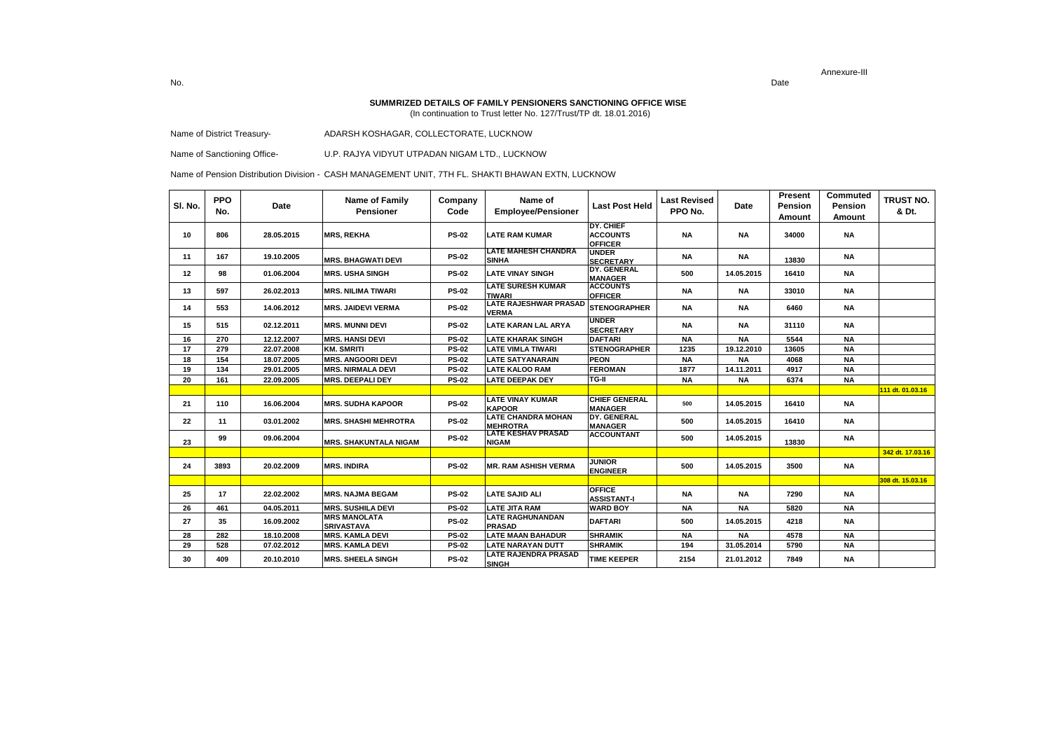Date

 **SUMMRIZED DETAILS OF FAMILY PENSIONERS SANCTIONING OFFICE WISE**

(In continuation to Trust letter No. 127/Trust/TP dt. 18.01.2016)

Name of District Treasury- ADARSH KOSHAGAR, COLLECTORATE, LUCKNOW

Name of Sanctioning Office- U.P. RAJYA VIDYUT UTPADAN NIGAM LTD., LUCKNOW

Name of Pension Distribution Division - CASH MANAGEMENT UNIT, 7TH FL. SHAKTI BHAWAN EXTN, LUCKNOW

| SI. No. | <b>PPO</b><br>No. | Date       | Name of Family<br><b>Pensioner</b>       | Company<br>Code | Name of<br><b>Employee/Pensioner</b>         | <b>Last Post Held</b>                                 | <b>Last Revised</b><br>PPO No. | Date       | Present<br>Pension<br><b>Amount</b> | Commuted<br><b>Pension</b><br>Amount | <b>TRUST NO.</b><br>& Dt. |
|---------|-------------------|------------|------------------------------------------|-----------------|----------------------------------------------|-------------------------------------------------------|--------------------------------|------------|-------------------------------------|--------------------------------------|---------------------------|
| 10      | 806               | 28.05.2015 | <b>MRS, REKHA</b>                        | <b>PS-02</b>    | <b>LATE RAM KUMAR</b>                        | <b>DY. CHIEF</b><br><b>ACCOUNTS</b><br><b>OFFICER</b> | <b>NA</b>                      | <b>NA</b>  | 34000                               | <b>NA</b>                            |                           |
| 11      | 167               | 19.10.2005 | <b>MRS. BHAGWATI DEVI</b>                | <b>PS-02</b>    | <b>LATE MAHESH CHANDRA</b><br><b>SINHA</b>   | <b>UNDER</b><br>SECRETARY<br>DY. GENERAL              | <b>NA</b>                      | <b>NA</b>  | 13830                               | <b>NA</b>                            |                           |
| 12      | 98                | 01.06.2004 | <b>MRS. USHA SINGH</b>                   | <b>PS-02</b>    | <b>LATE VINAY SINGH</b>                      | <b>MANAGER</b>                                        | 500                            | 14.05.2015 | 16410                               | <b>NA</b>                            |                           |
| 13      | 597               | 26.02.2013 | <b>MRS. NILIMA TIWARI</b>                | <b>PS-02</b>    | <b>LATE SURESH KUMAR</b><br><b>TIWARI</b>    | <b>ACCOUNTS</b><br><b>OFFICER</b>                     | <b>NA</b>                      | <b>NA</b>  | 33010                               | <b>NA</b>                            |                           |
| 14      | 553               | 14.06.2012 | <b>MRS. JAIDEVI VERMA</b>                | <b>PS-02</b>    | <b>LATE RAJESHWAR PRASAD</b><br><b>VERMA</b> | <b>STENOGRAPHER</b>                                   | <b>NA</b>                      | <b>NA</b>  | 6460                                | <b>NA</b>                            |                           |
| 15      | 515               | 02.12.2011 | <b>MRS. MUNNI DEVI</b>                   | <b>PS-02</b>    | <b>LATE KARAN LAL ARYA</b>                   | <b>UNDER</b><br><b>SECRETARY</b>                      | <b>NA</b>                      | <b>NA</b>  | 31110                               | <b>NA</b>                            |                           |
| 16      | 270               | 12.12.2007 | <b>MRS. HANSI DEVI</b>                   | <b>PS-02</b>    | <b>LATE KHARAK SINGH</b>                     | <b>DAFTARI</b>                                        | <b>NA</b>                      | <b>NA</b>  | 5544                                | <b>NA</b>                            |                           |
| 17      | 279               | 22.07.2008 | <b>KM. SMRITI</b>                        | <b>PS-02</b>    | <b>LATE VIMLA TIWARI</b>                     | <b>STENOGRAPHER</b>                                   | 1235                           | 19.12.2010 | 13605                               | <b>NA</b>                            |                           |
| 18      | 154               | 18.07.2005 | <b>MRS. ANGOORI DEVI</b>                 | <b>PS-02</b>    | <b>LATE SATYANARAIN</b>                      | PEON                                                  | <b>NA</b>                      | <b>NA</b>  | 4068                                | <b>NA</b>                            |                           |
| 19      | 134               | 29.01.2005 | <b>MRS. NIRMALA DEVI</b>                 | <b>PS-02</b>    | <b>LATE KALOO RAM</b>                        | <b>FEROMAN</b>                                        | 1877                           | 14.11.2011 | 4917                                | <b>NA</b>                            |                           |
| 20      | 161               | 22.09.2005 | <b>MRS. DEEPALI DEY</b>                  | <b>PS-02</b>    | <b>LATE DEEPAK DEY</b>                       | TG-II                                                 | <b>NA</b>                      | <b>NA</b>  | 6374                                | <b>NA</b>                            |                           |
|         |                   |            |                                          |                 |                                              |                                                       |                                |            |                                     |                                      | 111 dt. 01.03.16          |
| 21      | 110               | 16.06.2004 | <b>MRS. SUDHA KAPOOR</b>                 | <b>PS-02</b>    | <b>LATE VINAY KUMAR</b><br><b>KAPOOR</b>     | <b>CHIEF GENERAL</b><br><b>MANAGER</b>                | 500                            | 14.05.2015 | 16410                               | <b>NA</b>                            |                           |
| 22      | 11                | 03.01.2002 | <b>MRS. SHASHI MEHROTRA</b>              | <b>PS-02</b>    | <b>LATE CHANDRA MOHAN</b><br><b>MEHROTRA</b> | DY. GENERAL<br><b>MANAGER</b>                         | 500                            | 14.05.2015 | 16410                               | <b>NA</b>                            |                           |
| 23      | 99                | 09.06.2004 | <b>MRS. SHAKUNTALA NIGAM</b>             | <b>PS-02</b>    | <b>LATE KESHAV PRASAD</b><br><b>NIGAM</b>    | <b>ACCOUNTANT</b>                                     | 500                            | 14.05.2015 | 13830                               | NA                                   |                           |
|         |                   |            |                                          |                 |                                              |                                                       |                                |            |                                     |                                      | 342 dt. 17.03.16          |
| 24      | 3893              | 20.02.2009 | <b>MRS. INDIRA</b>                       | <b>PS-02</b>    | <b>MR. RAM ASHISH VERMA</b>                  | <b>JUNIOR</b><br><b>ENGINEER</b>                      | 500                            | 14.05.2015 | 3500                                | <b>NA</b>                            |                           |
|         |                   |            |                                          |                 |                                              |                                                       |                                |            |                                     |                                      | 308 dt. 15.03.16          |
| 25      | 17                | 22.02.2002 | <b>MRS. NAJMA BEGAM</b>                  | <b>PS-02</b>    | <b>LATE SAJID ALI</b>                        | <b>OFFICE</b><br><b>ASSISTANT-I</b>                   | <b>NA</b>                      | NA         | 7290                                | <b>NA</b>                            |                           |
| 26      | 461               | 04.05.2011 | <b>MRS. SUSHILA DEVI</b>                 | <b>PS-02</b>    | <b>LATE JITA RAM</b>                         | <b>WARD BOY</b>                                       | <b>NA</b>                      | <b>NA</b>  | 5820                                | <b>NA</b>                            |                           |
| 27      | 35                | 16.09.2002 | <b>MRS MANOLATA</b><br><b>SRIVASTAVA</b> | <b>PS-02</b>    | <b>LATE RAGHUNANDAN</b><br>PRASAD            | <b>DAFTARI</b>                                        | 500                            | 14.05.2015 | 4218                                | <b>NA</b>                            |                           |
| 28      | 282               | 18.10.2008 | <b>MRS. KAMLA DEVI</b>                   | <b>PS-02</b>    | <b>LATE MAAN BAHADUR</b>                     | <b>SHRAMIK</b>                                        | <b>NA</b>                      | <b>NA</b>  | 4578                                | <b>NA</b>                            |                           |
| 29      | 528               | 07.02.2012 | <b>MRS. KAMLA DEVI</b>                   | <b>PS-02</b>    | <b>LATE NARAYAN DUTT</b>                     | <b>SHRAMIK</b>                                        | 194                            | 31.05.2014 | 5790                                | <b>NA</b>                            |                           |
| 30      | 409               | 20.10.2010 | <b>MRS. SHEELA SINGH</b>                 | <b>PS-02</b>    | <b>LATE RAJENDRA PRASAD</b><br><b>SINGH</b>  | <b>TIME KEEPER</b>                                    | 2154                           | 21.01.2012 | 7849                                | <b>NA</b>                            |                           |

No.Date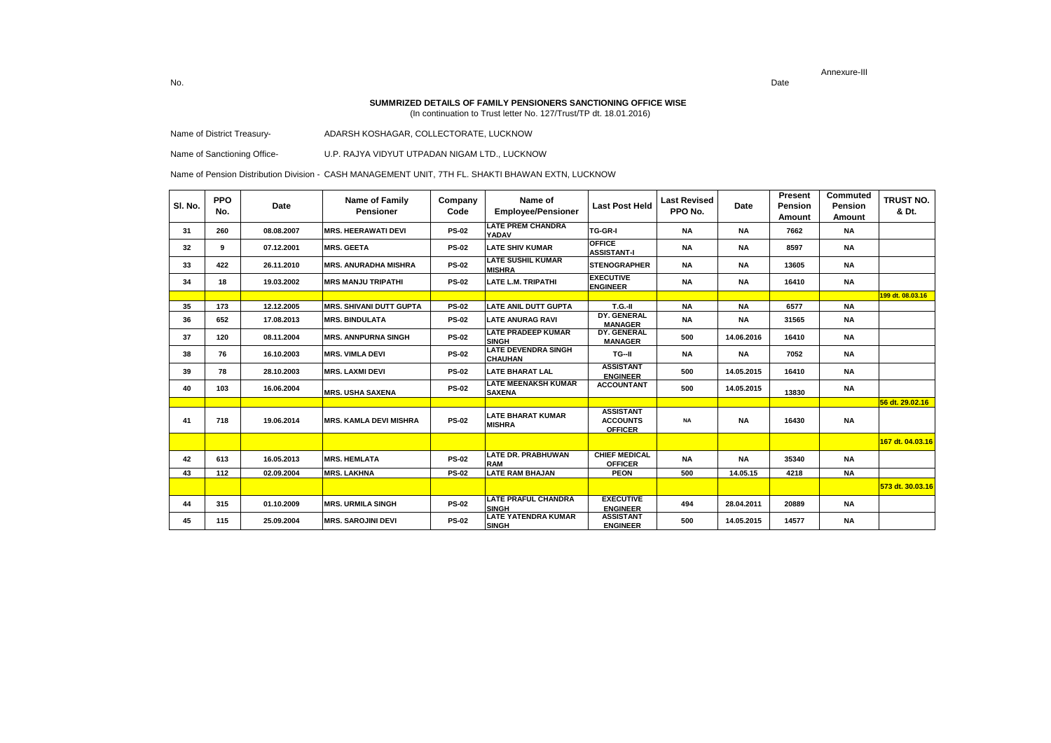Date

 **SUMMRIZED DETAILS OF FAMILY PENSIONERS SANCTIONING OFFICE WISE**

(In continuation to Trust letter No. 127/Trust/TP dt. 18.01.2016)

Name of District Treasury- ADARSH KOSHAGAR, COLLECTORATE, LUCKNOW

Name of Sanctioning Office- U.P. RAJYA VIDYUT UTPADAN NIGAM LTD., LUCKNOW

Name of Pension Distribution Division - CASH MANAGEMENT UNIT, 7TH FL. SHAKTI BHAWAN EXTN, LUCKNOW

| SI. No. | <b>PPO</b><br>No. | Date       | Name of Family<br>Pensioner    | Company<br>Code | Name of<br><b>Employee/Pensioner</b>         | <b>Last Post Held</b>                                 | Last Revised<br>PPO No. | Date       | Present<br>Pension<br>Amount | Commuted<br>Pension<br>Amount | TRUST NO.<br>& Dt. |
|---------|-------------------|------------|--------------------------------|-----------------|----------------------------------------------|-------------------------------------------------------|-------------------------|------------|------------------------------|-------------------------------|--------------------|
| 31      | 260               | 08.08.2007 | <b>MRS. HEERAWATI DEVI</b>     | <b>PS-02</b>    | <b>LATE PREM CHANDRA</b><br><b>YADAV</b>     | <b>TG-GR-I</b>                                        | <b>NA</b>               | <b>NA</b>  | 7662                         | <b>NA</b>                     |                    |
| 32      | 9                 | 07.12.2001 | <b>MRS. GEETA</b>              | <b>PS-02</b>    | <b>LATE SHIV KUMAR</b>                       | <b>OFFICE</b><br><b>ASSISTANT-I</b>                   | <b>NA</b>               | <b>NA</b>  | 8597                         | <b>NA</b>                     |                    |
| 33      | 422               | 26.11.2010 | <b>MRS. ANURADHA MISHRA</b>    | <b>PS-02</b>    | <b>LATE SUSHIL KUMAR</b><br><b>MISHRA</b>    | <b>STENOGRAPHER</b>                                   | <b>NA</b>               | <b>NA</b>  | 13605                        | <b>NA</b>                     |                    |
| 34      | 18                | 19.03.2002 | <b>MRS MANJU TRIPATHI</b>      | <b>PS-02</b>    | <b>LATE L.M. TRIPATHI</b>                    | <b>EXECUTIVE</b><br><b>ENGINEER</b>                   | <b>NA</b>               | <b>NA</b>  | 16410                        | <b>NA</b>                     |                    |
|         |                   |            |                                |                 |                                              |                                                       |                         |            |                              |                               | 199 dt. 08.03.16   |
| 35      | 173               | 12.12.2005 | <b>MRS. SHIVANI DUTT GUPTA</b> | <b>PS-02</b>    | LATE ANIL DUTT GUPTA                         | T.G.-II                                               | <b>NA</b>               | <b>NA</b>  | 6577                         | <b>NA</b>                     |                    |
| 36      | 652               | 17.08.2013 | <b>MRS. BINDULATA</b>          | <b>PS-02</b>    | <b>LATE ANURAG RAVI</b>                      | DY. GENERAL<br><b>MANAGER</b>                         | ΝA                      | <b>NA</b>  | 31565                        | <b>NA</b>                     |                    |
| 37      | 120               | 08.11.2004 | <b>MRS. ANNPURNA SINGH</b>     | <b>PS-02</b>    | <b>LATE PRADEEP KUMAR</b><br><b>SINGH</b>    | DY. GENERAL<br><b>MANAGER</b>                         | 500                     | 14.06.2016 | 16410                        | <b>NA</b>                     |                    |
| 38      | 76                | 16.10.2003 | <b>MRS. VIMLA DEVI</b>         | <b>PS-02</b>    | <b>LATE DEVENDRA SINGH</b><br><b>CHAUHAN</b> | TG-II                                                 | <b>NA</b>               | <b>NA</b>  | 7052                         | <b>NA</b>                     |                    |
| 39      | 78                | 28.10.2003 | <b>MRS. LAXMI DEVI</b>         | <b>PS-02</b>    | <b>LATE BHARAT LAL</b>                       | <b>ASSISTANT</b><br><b>ENGINEER</b>                   | 500                     | 14.05.2015 | 16410                        | <b>NA</b>                     |                    |
| 40      | 103               | 16.06.2004 | <b>MRS. USHA SAXENA</b>        | <b>PS-02</b>    | <b>LATE MEENAKSH KUMAR</b><br><b>SAXENA</b>  | <b>ACCOUNTANT</b>                                     | 500                     | 14.05.2015 | 13830                        | <b>NA</b>                     |                    |
|         |                   |            |                                |                 |                                              |                                                       |                         |            |                              |                               | 56 dt. 29.02.16    |
| 41      | 718               | 19.06.2014 | <b>MRS. KAMLA DEVI MISHRA</b>  | <b>PS-02</b>    | <b>LATE BHARAT KUMAR</b><br><b>MISHRA</b>    | <b>ASSISTANT</b><br><b>ACCOUNTS</b><br><b>OFFICER</b> | <b>NA</b>               | <b>NA</b>  | 16430                        | <b>NA</b>                     |                    |
|         |                   |            |                                |                 |                                              |                                                       |                         |            |                              |                               | 167 dt. 04.03.16   |
| 42      | 613               | 16.05.2013 | <b>MRS. HEMLATA</b>            | <b>PS-02</b>    | <b>LATE DR. PRABHUWAN</b><br><b>RAM</b>      | <b>CHIEF MEDICAL</b><br><b>OFFICER</b>                | <b>NA</b>               | <b>NA</b>  | 35340                        | <b>NA</b>                     |                    |
| 43      | 112               | 02.09.2004 | <b>MRS. LAKHNA</b>             | <b>PS-02</b>    | <b>LATE RAM BHAJAN</b>                       | <b>PEON</b>                                           | 500                     | 14.05.15   | 4218                         | <b>NA</b>                     |                    |
|         |                   |            |                                |                 |                                              |                                                       |                         |            |                              |                               | 573 dt. 30.03.16   |
| 44      | 315               | 01.10.2009 | <b>MRS. URMILA SINGH</b>       | <b>PS-02</b>    | <b>LATE PRAFUL CHANDRA</b><br><b>SINGH</b>   | <b>EXECUTIVE</b><br><b>ENGINEER</b>                   | 494                     | 28.04.2011 | 20889                        | <b>NA</b>                     |                    |
| 45      | 115               | 25.09.2004 | <b>MRS. SAROJINI DEVI</b>      | <b>PS-02</b>    | <b>LATE YATENDRA KUMAR</b><br><b>SINGH</b>   | <b>ASSISTANT</b><br><b>ENGINEER</b>                   | 500                     | 14.05.2015 | 14577                        | <b>NA</b>                     |                    |

No.Date